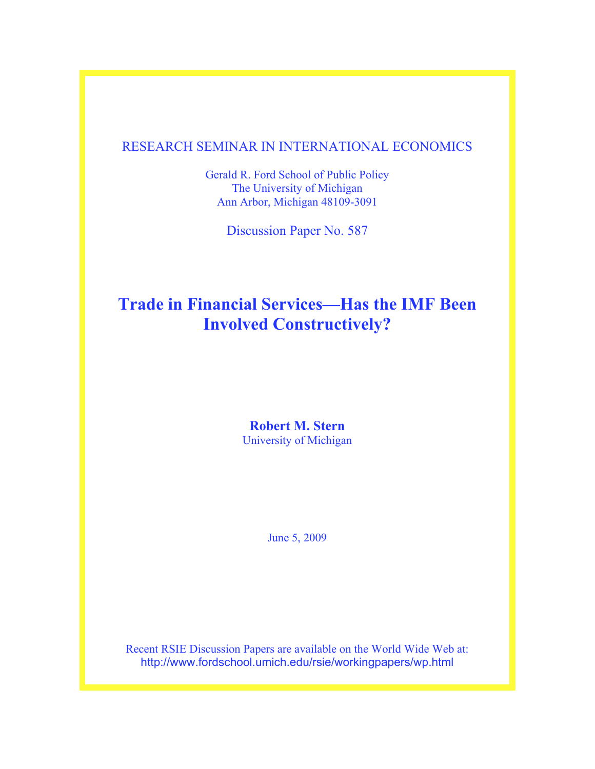## RESEARCH SEMINAR IN INTERNATIONAL ECONOMICS

Gerald R. Ford School of Public Policy The University of Michigan Ann Arbor, Michigan 48109-3091

Discussion Paper No. 587

# **Trade in Financial Services—Has the IMF Been Involved Constructively?**

**Robert M. Stern** University of Michigan

June 5, 2009

Recent RSIE Discussion Papers are available on the World Wide Web at: http://www.fordschool.umich.edu/rsie/workingpapers/wp.html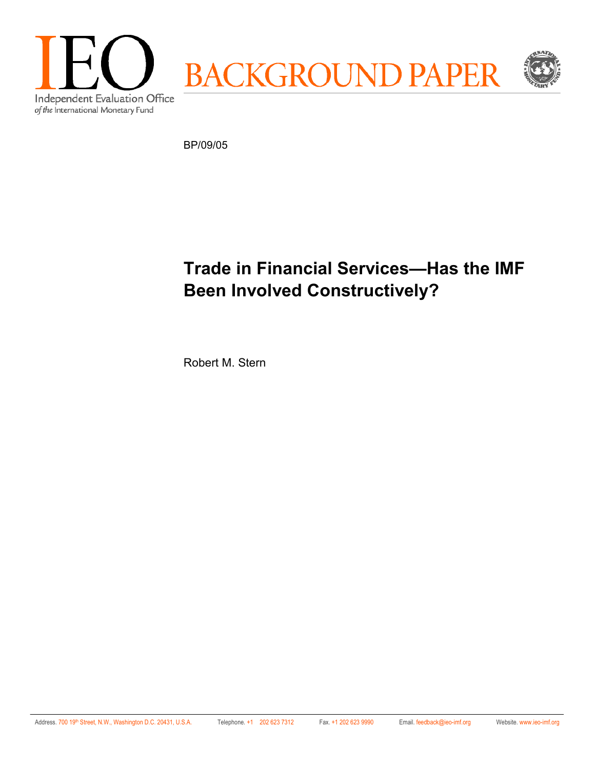

BP/09/05

# **Trade in Financial Services—Has the IMF Been Involved Constructively?**

Robert M. Stern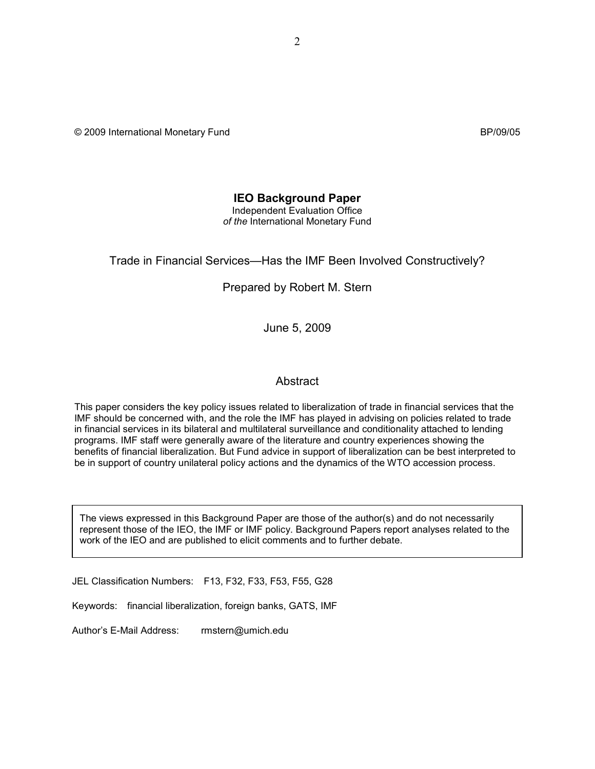© 2009 International Monetary Fund BP/09/05

## **IEO Background Paper**

Independent Evaluation Office *of the* International Monetary Fund

Trade in Financial Services—Has the IMF Been Involved Constructively?

Prepared by Robert M. Stern

June 5, 2009

## **Abstract**

This paper considers the key policy issues related to liberalization of trade in financial services that the IMF should be concerned with, and the role the IMF has played in advising on policies related to trade in financial services in its bilateral and multilateral surveillance and conditionality attached to lending programs. IMF staff were generally aware of the literature and country experiences showing the benefits of financial liberalization. But Fund advice in support of liberalization can be best interpreted to be in support of country unilateral policy actions and the dynamics of the WTO accession process.

The views expressed in this Background Paper are those of the author(s) and do not necessarily represent those of the IEO, the IMF or IMF policy. Background Papers report analyses related to the work of the IEO and are published to elicit comments and to further debate.

JEL Classification Numbers: F13, F32, F33, F53, F55, G28

Keywords: financial liberalization, foreign banks, GATS, IMF

Author's E-Mail Address: rmstern@umich.edu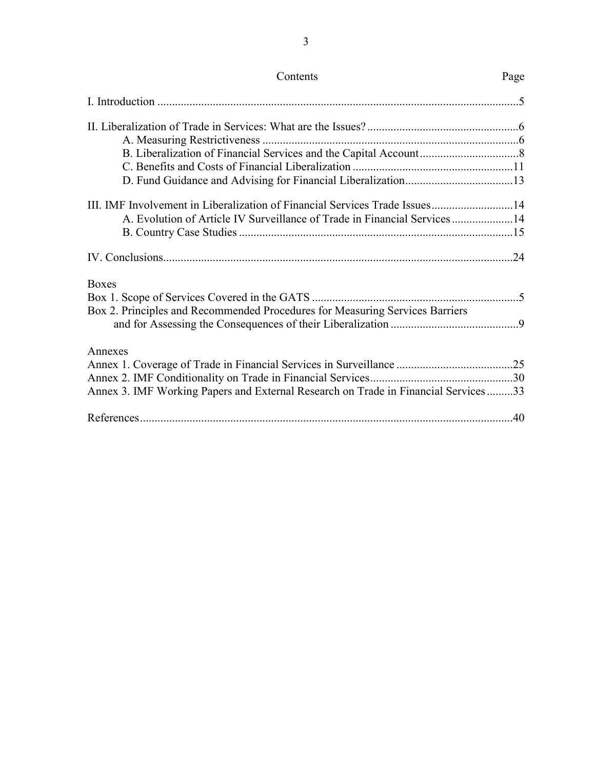| III. IMF Involvement in Liberalization of Financial Services Trade Issues14        |  |
|------------------------------------------------------------------------------------|--|
| A. Evolution of Article IV Surveillance of Trade in Financial Services 14          |  |
|                                                                                    |  |
|                                                                                    |  |
| <b>Boxes</b>                                                                       |  |
|                                                                                    |  |
| Box 2. Principles and Recommended Procedures for Measuring Services Barriers       |  |
|                                                                                    |  |
| Annexes                                                                            |  |
|                                                                                    |  |
|                                                                                    |  |
| Annex 3. IMF Working Papers and External Research on Trade in Financial Services33 |  |
|                                                                                    |  |

Contents Page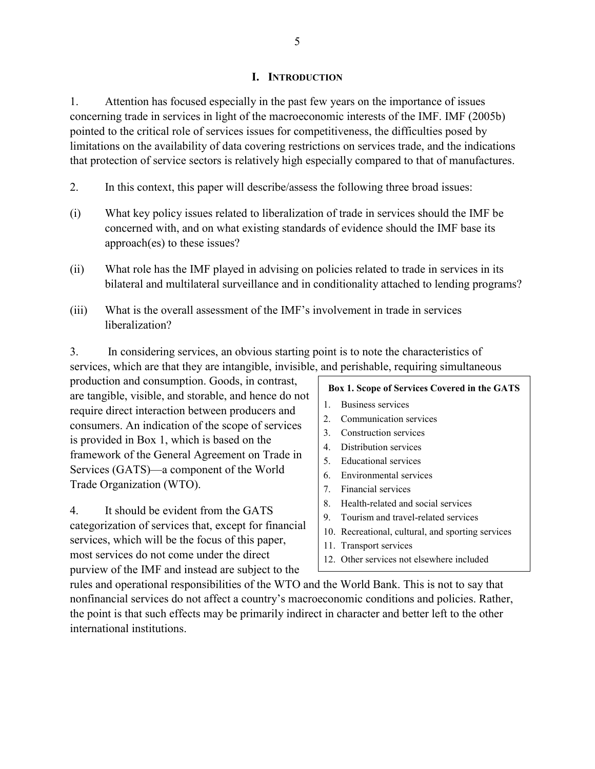#### **I. INTRODUCTION**

<span id="page-5-0"></span>1. Attention has focused especially in the past few years on the importance of issues concerning trade in services in light of the macroeconomic interests of the IMF. IMF (2005b) pointed to the critical role of services issues for competitiveness, the difficulties posed by limitations on the availability of data covering restrictions on services trade, and the indications that protection of service sectors is relatively high especially compared to that of manufactures.

2. In this context, this paper will describe/assess the following three broad issues:

- (i) What key policy issues related to liberalization of trade in services should the IMF be concerned with, and on what existing standards of evidence should the IMF base its approach(es) to these issues?
- (ii) What role has the IMF played in advising on policies related to trade in services in its bilateral and multilateral surveillance and in conditionality attached to lending programs?
- (iii) What is the overall assessment of the IMF's involvement in trade in services liberalization?

3. In considering services, an obvious starting point is to note the characteristics of services, which are that they are intangible, invisible, and perishable, requiring simultaneous

production and consumption. Goods, in contrast, are tangible, visible, and storable, and hence do not require direct interaction between producers and consumers. An indication of the scope of services is provided in Box 1, which is based on the framework of the General Agreement on Trade in Services (GATS)—a component of the World Trade Organization (WTO).

4. It should be evident from the GATS categorization of services that, except for financial services, which will be the focus of this paper, most services do not come under the direct purview of the IMF and instead are subject to the

#### **Box 1. Scope of Services Covered in the GATS**

- 1. Business services
- 2. Communication services
- 3. Construction services
- 4. Distribution services
- 5. Educational services
- 6. Environmental services
- 7. Financial services
- 8. Health-related and social services
- 9. Tourism and travel-related services
- 10. Recreational, cultural, and sporting services
- 11. Transport services
- 12. Other services not elsewhere included

rules and operational responsibilities of the WTO and the World Bank. This is not to say that nonfinancial services do not affect a country's macroeconomic conditions and policies. Rather, the point is that such effects may be primarily indirect in character and better left to the other international institutions.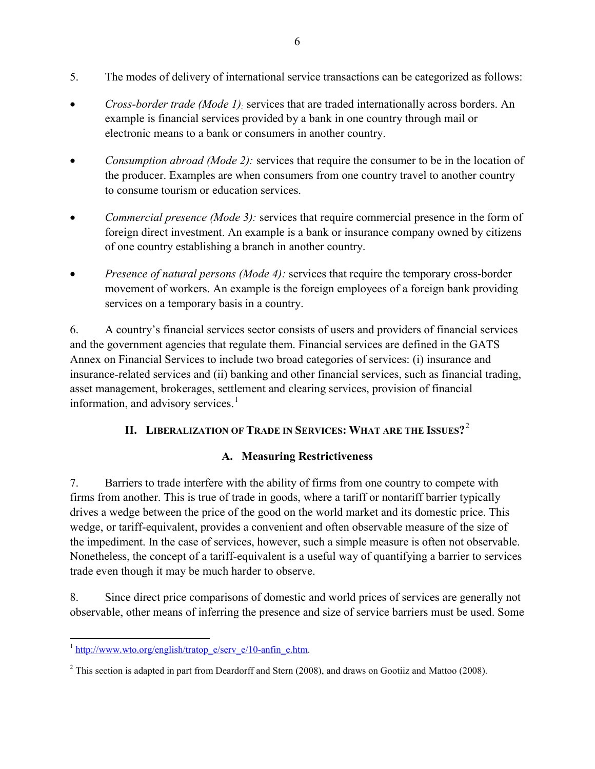- <span id="page-6-0"></span>5. The modes of delivery of international service transactions can be categorized as follows:
- *Cross-border trade (Mode 1)* services that are traded internationally across borders. An example is financial services provided by a bank in one country through mail or electronic means to a bank or consumers in another country.
- *Consumption abroad (Mode 2):* services that require the consumer to be in the location of the producer. Examples are when consumers from one country travel to another country to consume tourism or education services.
- *Commercial presence (Mode 3):* services that require commercial presence in the form of foreign direct investment. An example is a bank or insurance company owned by citizens of one country establishing a branch in another country.
- *Presence of natural persons (Mode 4):* services that require the temporary cross-border movement of workers. An example is the foreign employees of a foreign bank providing services on a temporary basis in a country.

6. A country's financial services sector consists of users and providers of financial services and the government agencies that regulate them. Financial services are defined in the GATS Annex on Financial Services to include two broad categories of services: (i) insurance and insurance-related services and (ii) banking and other financial services, such as financial trading, asset management, brokerages, settlement and clearing services, provision of financial information, and advisory services. $<sup>1</sup>$  $<sup>1</sup>$  $<sup>1</sup>$ </sup>

# **II. LIBERALIZATION OF TRADE IN SERVICES: WHAT ARE THE ISSUES?**[2](#page-6-2)

# **A. Measuring Restrictiveness**

7. Barriers to trade interfere with the ability of firms from one country to compete with firms from another. This is true of trade in goods, where a tariff or nontariff barrier typically drives a wedge between the price of the good on the world market and its domestic price. This wedge, or tariff-equivalent, provides a convenient and often observable measure of the size of the impediment. In the case of services, however, such a simple measure is often not observable. Nonetheless, the concept of a tariff-equivalent is a useful way of quantifying a barrier to services trade even though it may be much harder to observe.

8. Since direct price comparisons of domestic and world prices of services are generally not observable, other means of inferring the presence and size of service barriers must be used. Some

<span id="page-6-1"></span> $\overline{a}$ <sup>1</sup> [http://www.wto.org/english/tratop\\_e/serv\\_e/10-anfin\\_e.htm.](http://www.wto.org/english/tratop_e/serv_e/10-anfin_e.htm)

<span id="page-6-2"></span><sup>&</sup>lt;sup>2</sup> This section is adapted in part from Deardorff and Stern (2008), and draws on Gootiiz and Mattoo (2008).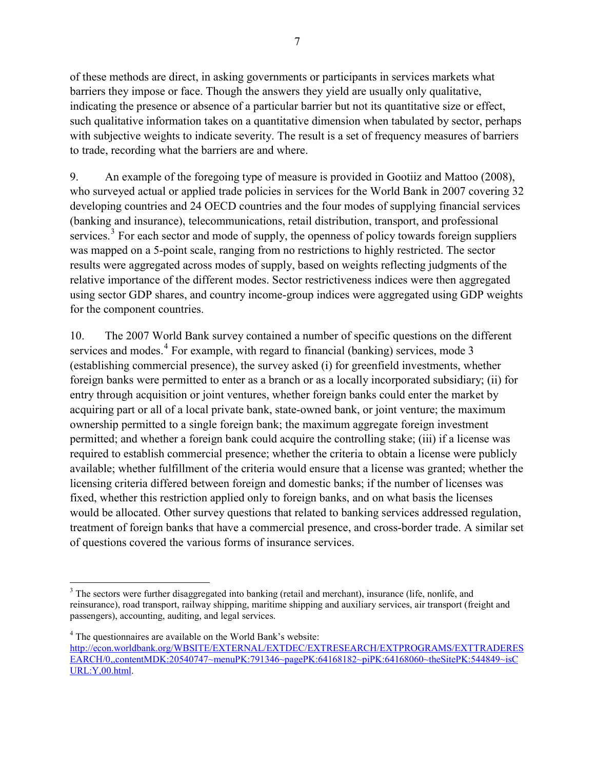of these methods are direct, in asking governments or participants in services markets what barriers they impose or face. Though the answers they yield are usually only qualitative, indicating the presence or absence of a particular barrier but not its quantitative size or effect, such qualitative information takes on a quantitative dimension when tabulated by sector, perhaps with subjective weights to indicate severity. The result is a set of frequency measures of barriers to trade, recording what the barriers are and where.

9. An example of the foregoing type of measure is provided in Gootiiz and Mattoo (2008), who surveyed actual or applied trade policies in services for the World Bank in 2007 covering 32 developing countries and 24 OECD countries and the four modes of supplying financial services (banking and insurance), telecommunications, retail distribution, transport, and professional services.<sup>[3](#page-7-0)</sup> For each sector and mode of supply, the openness of policy towards foreign suppliers was mapped on a 5-point scale, ranging from no restrictions to highly restricted. The sector results were aggregated across modes of supply, based on weights reflecting judgments of the relative importance of the different modes. Sector restrictiveness indices were then aggregated using sector GDP shares, and country income-group indices were aggregated using GDP weights for the component countries.

10. The 2007 World Bank survey contained a number of specific questions on the different services and modes.<sup>[4](#page-7-1)</sup> For example, with regard to financial (banking) services, mode 3 (establishing commercial presence), the survey asked (i) for greenfield investments, whether foreign banks were permitted to enter as a branch or as a locally incorporated subsidiary; (ii) for entry through acquisition or joint ventures, whether foreign banks could enter the market by acquiring part or all of a local private bank, state-owned bank, or joint venture; the maximum ownership permitted to a single foreign bank; the maximum aggregate foreign investment permitted; and whether a foreign bank could acquire the controlling stake; (iii) if a license was required to establish commercial presence; whether the criteria to obtain a license were publicly available; whether fulfillment of the criteria would ensure that a license was granted; whether the licensing criteria differed between foreign and domestic banks; if the number of licenses was fixed, whether this restriction applied only to foreign banks, and on what basis the licenses would be allocated. Other survey questions that related to banking services addressed regulation, treatment of foreign banks that have a commercial presence, and cross-border trade. A similar set of questions covered the various forms of insurance services.

 $\overline{a}$ 

 $3$  The sectors were further disaggregated into banking (retail and merchant), insurance (life, nonlife, and reinsurance), road transport, railway shipping, maritime shipping and auxiliary services, air transport (freight and passengers), accounting, auditing, and legal services.

<span id="page-7-1"></span><span id="page-7-0"></span><sup>&</sup>lt;sup>4</sup> The questionnaires are available on the World Bank's website: [http://econ.worldbank.org/WBSITE/EXTERNAL/EXTDEC/EXTRESEARCH/EXTPROGRAMS/EXTTRADERES](http://econ.worldbank.org/WBSITE/EXTERNAL/EXTDEC/EXTRESEARCH/EXTPROGRAMS/EXTTRADERESEARCH/0,,contentMDK:20540747%7EmenuPK:791346%7EpagePK:64168182%7EpiPK:64168060%7EtheSitePK:544849%7EisCURL:Y,00.html) [EARCH/0,,contentMDK:20540747~menuPK:791346~pagePK:64168182~piPK:64168060~theSitePK:544849~isC](http://econ.worldbank.org/WBSITE/EXTERNAL/EXTDEC/EXTRESEARCH/EXTPROGRAMS/EXTTRADERESEARCH/0,,contentMDK:20540747%7EmenuPK:791346%7EpagePK:64168182%7EpiPK:64168060%7EtheSitePK:544849%7EisCURL:Y,00.html) [URL:Y,00.html](http://econ.worldbank.org/WBSITE/EXTERNAL/EXTDEC/EXTRESEARCH/EXTPROGRAMS/EXTTRADERESEARCH/0,,contentMDK:20540747%7EmenuPK:791346%7EpagePK:64168182%7EpiPK:64168060%7EtheSitePK:544849%7EisCURL:Y,00.html).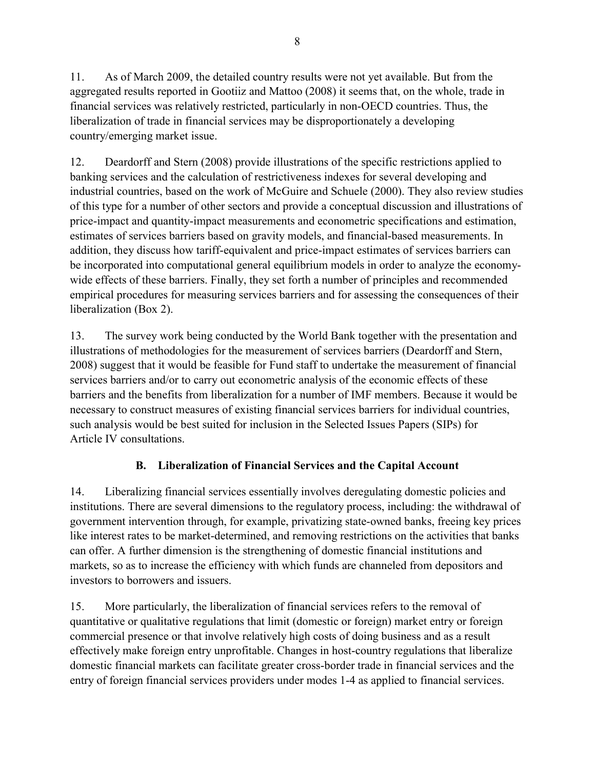<span id="page-8-0"></span>11. As of March 2009, the detailed country results were not yet available. But from the aggregated results reported in Gootiiz and Mattoo (2008) it seems that, on the whole, trade in financial services was relatively restricted, particularly in non-OECD countries. Thus, the liberalization of trade in financial services may be disproportionately a developing country/emerging market issue.

12. Deardorff and Stern (2008) provide illustrations of the specific restrictions applied to banking services and the calculation of restrictiveness indexes for several developing and industrial countries, based on the work of McGuire and Schuele (2000). They also review studies of this type for a number of other sectors and provide a conceptual discussion and illustrations of price-impact and quantity-impact measurements and econometric specifications and estimation, estimates of services barriers based on gravity models, and financial-based measurements. In addition, they discuss how tariff-equivalent and price-impact estimates of services barriers can be incorporated into computational general equilibrium models in order to analyze the economywide effects of these barriers. Finally, they set forth a number of principles and recommended empirical procedures for measuring services barriers and for assessing the consequences of their liberalization (Box 2).

13. The survey work being conducted by the World Bank together with the presentation and illustrations of methodologies for the measurement of services barriers (Deardorff and Stern, 2008) suggest that it would be feasible for Fund staff to undertake the measurement of financial services barriers and/or to carry out econometric analysis of the economic effects of these barriers and the benefits from liberalization for a number of IMF members. Because it would be necessary to construct measures of existing financial services barriers for individual countries, such analysis would be best suited for inclusion in the Selected Issues Papers (SIPs) for Article IV consultations.

# **B. Liberalization of Financial Services and the Capital Account**

14. Liberalizing financial services essentially involves deregulating domestic policies and institutions. There are several dimensions to the regulatory process, including: the withdrawal of government intervention through, for example, privatizing state-owned banks, freeing key prices like interest rates to be market-determined, and removing restrictions on the activities that banks can offer. A further dimension is the strengthening of domestic financial institutions and markets, so as to increase the efficiency with which funds are channeled from depositors and investors to borrowers and issuers.

15. More particularly, the liberalization of financial services refers to the removal of quantitative or qualitative regulations that limit (domestic or foreign) market entry or foreign commercial presence or that involve relatively high costs of doing business and as a result effectively make foreign entry unprofitable. Changes in host-country regulations that liberalize domestic financial markets can facilitate greater cross-border trade in financial services and the entry of foreign financial services providers under modes 1-4 as applied to financial services.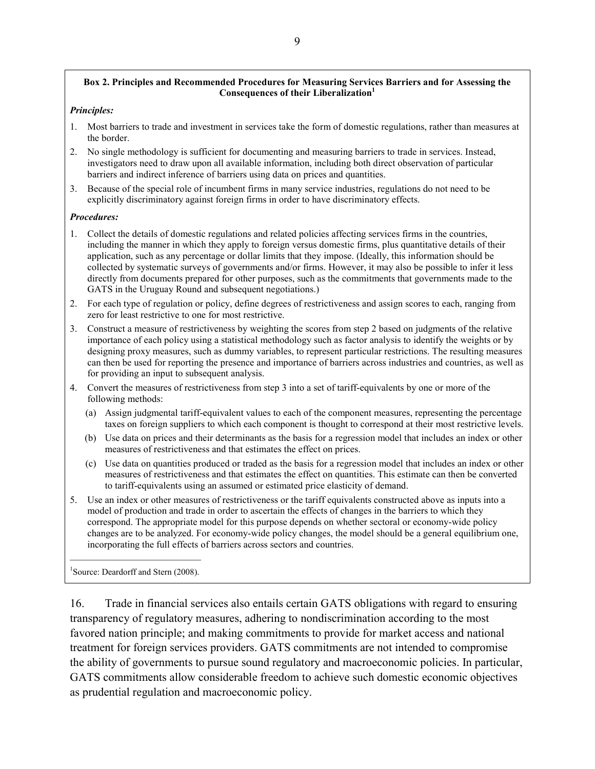#### <span id="page-9-0"></span>**Box 2. Principles and Recommended Procedures for Measuring Services Barriers and for Assessing the**  Consequences of their Liberalization<sup>1</sup>

#### *Principles:*

- 1. Most barriers to trade and investment in services take the form of domestic regulations, rather than measures at the border.
- 2. No single methodology is sufficient for documenting and measuring barriers to trade in services. Instead, investigators need to draw upon all available information, including both direct observation of particular barriers and indirect inference of barriers using data on prices and quantities.
- 3. Because of the special role of incumbent firms in many service industries, regulations do not need to be explicitly discriminatory against foreign firms in order to have discriminatory effects.

#### *Procedures:*

- 1. Collect the details of domestic regulations and related policies affecting services firms in the countries, including the manner in which they apply to foreign versus domestic firms, plus quantitative details of their application, such as any percentage or dollar limits that they impose. (Ideally, this information should be collected by systematic surveys of governments and/or firms. However, it may also be possible to infer it less directly from documents prepared for other purposes, such as the commitments that governments made to the GATS in the Uruguay Round and subsequent negotiations.)
- 2. For each type of regulation or policy, define degrees of restrictiveness and assign scores to each, ranging from zero for least restrictive to one for most restrictive.
- 3. Construct a measure of restrictiveness by weighting the scores from step 2 based on judgments of the relative importance of each policy using a statistical methodology such as factor analysis to identify the weights or by designing proxy measures, such as dummy variables, to represent particular restrictions. The resulting measures can then be used for reporting the presence and importance of barriers across industries and countries, as well as for providing an input to subsequent analysis.
- 4. Convert the measures of restrictiveness from step 3 into a set of tariff-equivalents by one or more of the following methods:
	- (a) Assign judgmental tariff-equivalent values to each of the component measures, representing the percentage taxes on foreign suppliers to which each component is thought to correspond at their most restrictive levels.
	- (b) Use data on prices and their determinants as the basis for a regression model that includes an index or other measures of restrictiveness and that estimates the effect on prices.
	- (c) Use data on quantities produced or traded as the basis for a regression model that includes an index or other measures of restrictiveness and that estimates the effect on quantities. This estimate can then be converted to tariff-equivalents using an assumed or estimated price elasticity of demand.
- 5. Use an index or other measures of restrictiveness or the tariff equivalents constructed above as inputs into a model of production and trade in order to ascertain the effects of changes in the barriers to which they correspond. The appropriate model for this purpose depends on whether sectoral or economy-wide policy changes are to be analyzed. For economy-wide policy changes, the model should be a general equilibrium one, incorporating the full effects of barriers across sectors and countries.

 $\mathcal{L}_\text{max}$ <sup>1</sup>Source: Deardorff and Stern (2008).

16. Trade in financial services also entails certain GATS obligations with regard to ensuring transparency of regulatory measures, adhering to nondiscrimination according to the most favored nation principle; and making commitments to provide for market access and national treatment for foreign services providers. GATS commitments are not intended to compromise the ability of governments to pursue sound regulatory and macroeconomic policies. In particular, GATS commitments allow considerable freedom to achieve such domestic economic objectives as prudential regulation and macroeconomic policy.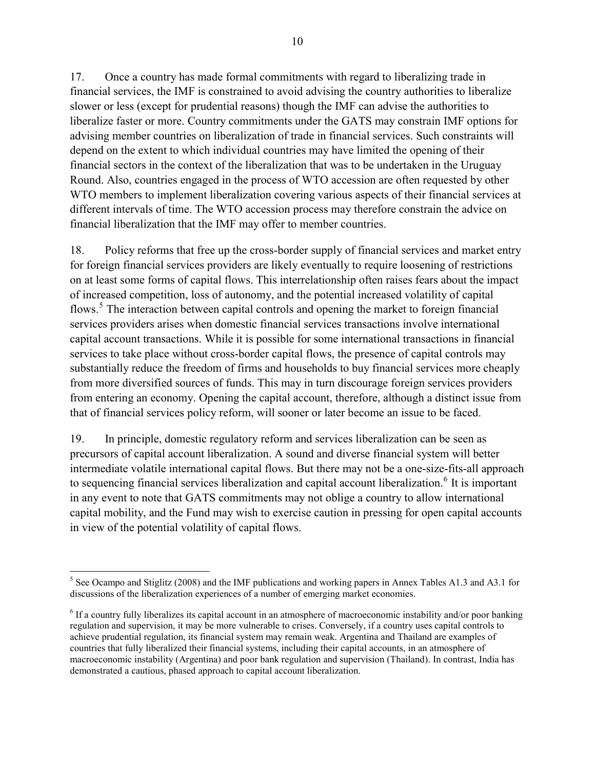17. Once a country has made formal commitments with regard to liberalizing trade in financial services, the IMF is constrained to avoid advising the country authorities to liberalize slower or less (except for prudential reasons) though the IMF can advise the authorities to liberalize faster or more. Country commitments under the GATS may constrain IMF options for advising member countries on liberalization of trade in financial services. Such constraints will depend on the extent to which individual countries may have limited the opening of their financial sectors in the context of the liberalization that was to be undertaken in the Uruguay Round. Also, countries engaged in the process of WTO accession are often requested by other WTO members to implement liberalization covering various aspects of their financial services at different intervals of time. The WTO accession process may therefore constrain the advice on financial liberalization that the IMF may offer to member countries.

18. Policy reforms that free up the cross-border supply of financial services and market entry for foreign financial services providers are likely eventually to require loosening of restrictions on at least some forms of capital flows. This interrelationship often raises fears about the impact of increased competition, loss of autonomy, and the potential increased volatility of capital flows.<sup>[5](#page-10-0)</sup> The interaction between capital controls and opening the market to foreign financial services providers arises when domestic financial services transactions involve international capital account transactions. While it is possible for some international transactions in financial services to take place without cross-border capital flows, the presence of capital controls may substantially reduce the freedom of firms and households to buy financial services more cheaply from more diversified sources of funds. This may in turn discourage foreign services providers from entering an economy. Opening the capital account, therefore, although a distinct issue from that of financial services policy reform, will sooner or later become an issue to be faced.

19. In principle, domestic regulatory reform and services liberalization can be seen as precursors of capital account liberalization. A sound and diverse financial system will better intermediate volatile international capital flows. But there may not be a one-size-fits-all approach to sequencing financial services liberalization and capital account liberalization.<sup>[6](#page-10-1)</sup> It is important in any event to note that GATS commitments may not oblige a country to allow international capital mobility, and the Fund may wish to exercise caution in pressing for open capital accounts in view of the potential volatility of capital flows.

<span id="page-10-0"></span> $\overline{a}$ <sup>5</sup> See Ocampo and Stiglitz (2008) and the IMF publications and working papers in Annex Tables A1.3 and A3.1 for discussions of the liberalization experiences of a number of emerging market economies.

<span id="page-10-1"></span> $<sup>6</sup>$  If a country fully liberalizes its capital account in an atmosphere of macroeconomic instability and/or poor banking</sup> regulation and supervision, it may be more vulnerable to crises. Conversely, if a country uses capital controls to achieve prudential regulation, its financial system may remain weak. Argentina and Thailand are examples of countries that fully liberalized their financial systems, including their capital accounts, in an atmosphere of macroeconomic instability (Argentina) and poor bank regulation and supervision (Thailand). In contrast, India has demonstrated a cautious, phased approach to capital account liberalization.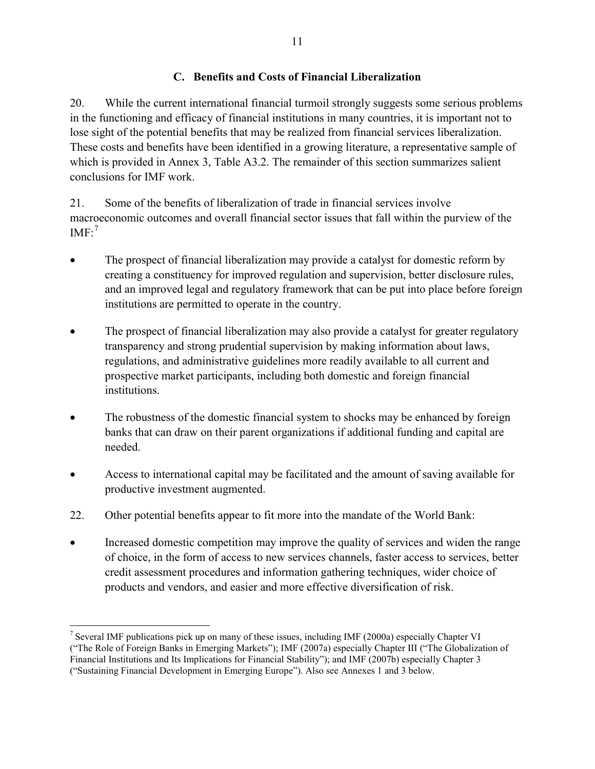## **C. Benefits and Costs of Financial Liberalization**

<span id="page-11-0"></span>20. While the current international financial turmoil strongly suggests some serious problems in the functioning and efficacy of financial institutions in many countries, it is important not to lose sight of the potential benefits that may be realized from financial services liberalization. These costs and benefits have been identified in a growing literature, a representative sample of which is provided in Annex 3, Table A3.2. The remainder of this section summarizes salient conclusions for IMF work.

21. Some of the benefits of liberalization of trade in financial services involve macroeconomic outcomes and overall financial sector issues that fall within the purview of the  $IMF:$ <sup>[7](#page-11-1)</sup>

- The prospect of financial liberalization may provide a catalyst for domestic reform by creating a constituency for improved regulation and supervision, better disclosure rules, and an improved legal and regulatory framework that can be put into place before foreign institutions are permitted to operate in the country.
- The prospect of financial liberalization may also provide a catalyst for greater regulatory transparency and strong prudential supervision by making information about laws, regulations, and administrative guidelines more readily available to all current and prospective market participants, including both domestic and foreign financial institutions.
- The robustness of the domestic financial system to shocks may be enhanced by foreign banks that can draw on their parent organizations if additional funding and capital are needed.
- Access to international capital may be facilitated and the amount of saving available for productive investment augmented.
- 22. Other potential benefits appear to fit more into the mandate of the World Bank:

<u>.</u>

• Increased domestic competition may improve the quality of services and widen the range of choice, in the form of access to new services channels, faster access to services, better credit assessment procedures and information gathering techniques, wider choice of products and vendors, and easier and more effective diversification of risk.

<span id="page-11-1"></span><sup>&</sup>lt;sup>7</sup> Several IMF publications pick up on many of these issues, including IMF (2000a) especially Chapter VI ("The Role of Foreign Banks in Emerging Markets"); IMF (2007a) especially Chapter III ("The Globalization of Financial Institutions and Its Implications for Financial Stability"); and IMF (2007b) especially Chapter 3 ("Sustaining Financial Development in Emerging Europe"). Also see Annexes 1 and 3 below.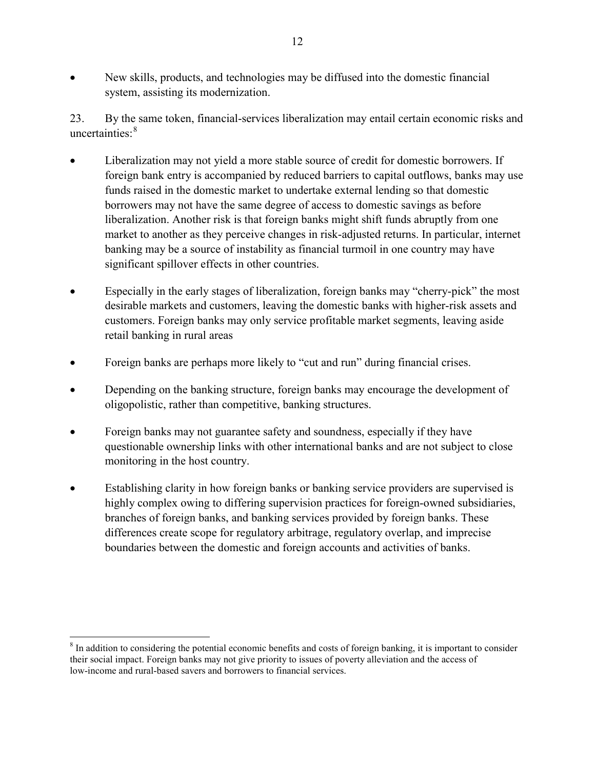• New skills, products, and technologies may be diffused into the domestic financial system, assisting its modernization.

23. By the same token, financial-services liberalization may entail certain economic risks and uncertainties:[8](#page-12-0)

- Liberalization may not yield a more stable source of credit for domestic borrowers. If foreign bank entry is accompanied by reduced barriers to capital outflows, banks may use funds raised in the domestic market to undertake external lending so that domestic borrowers may not have the same degree of access to domestic savings as before liberalization. Another risk is that foreign banks might shift funds abruptly from one market to another as they perceive changes in risk-adjusted returns. In particular, internet banking may be a source of instability as financial turmoil in one country may have significant spillover effects in other countries.
- Especially in the early stages of liberalization, foreign banks may "cherry-pick" the most desirable markets and customers, leaving the domestic banks with higher-risk assets and customers. Foreign banks may only service profitable market segments, leaving aside retail banking in rural areas
- Foreign banks are perhaps more likely to "cut and run" during financial crises.
- Depending on the banking structure, foreign banks may encourage the development of oligopolistic, rather than competitive, banking structures.
- Foreign banks may not guarantee safety and soundness, especially if they have questionable ownership links with other international banks and are not subject to close monitoring in the host country.
- Establishing clarity in how foreign banks or banking service providers are supervised is highly complex owing to differing supervision practices for foreign-owned subsidiaries, branches of foreign banks, and banking services provided by foreign banks. These differences create scope for regulatory arbitrage, regulatory overlap, and imprecise boundaries between the domestic and foreign accounts and activities of banks.

 $\overline{a}$ 

<span id="page-12-0"></span><sup>&</sup>lt;sup>8</sup> In addition to considering the potential economic benefits and costs of foreign banking, it is important to consider their social impact. Foreign banks may not give priority to issues of poverty alleviation and the access of low-income and rural-based savers and borrowers to financial services.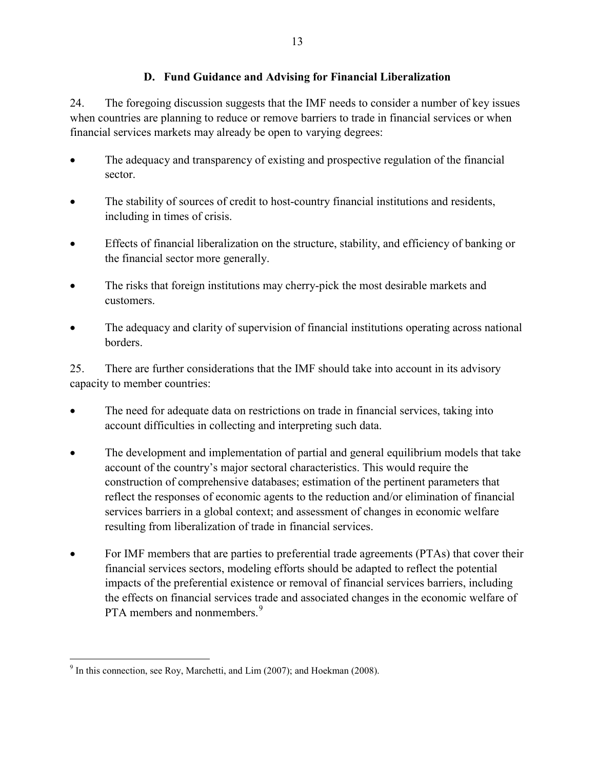## **D. Fund Guidance and Advising for Financial Liberalization**

<span id="page-13-0"></span>24. The foregoing discussion suggests that the IMF needs to consider a number of key issues when countries are planning to reduce or remove barriers to trade in financial services or when financial services markets may already be open to varying degrees:

- The adequacy and transparency of existing and prospective regulation of the financial sector.
- The stability of sources of credit to host-country financial institutions and residents, including in times of crisis.
- Effects of financial liberalization on the structure, stability, and efficiency of banking or the financial sector more generally.
- The risks that foreign institutions may cherry-pick the most desirable markets and customers.
- The adequacy and clarity of supervision of financial institutions operating across national borders.

25. There are further considerations that the IMF should take into account in its advisory capacity to member countries:

- The need for adequate data on restrictions on trade in financial services, taking into account difficulties in collecting and interpreting such data.
- The development and implementation of partial and general equilibrium models that take account of the country's major sectoral characteristics. This would require the construction of comprehensive databases; estimation of the pertinent parameters that reflect the responses of economic agents to the reduction and/or elimination of financial services barriers in a global context; and assessment of changes in economic welfare resulting from liberalization of trade in financial services.
- For IMF members that are parties to preferential trade agreements (PTAs) that cover their financial services sectors, modeling efforts should be adapted to reflect the potential impacts of the preferential existence or removal of financial services barriers, including the effects on financial services trade and associated changes in the economic welfare of PTA members and nonmembers.<sup>[9](#page-13-1)</sup>

<span id="page-13-1"></span> $\overline{a}$ <sup>9</sup> In this connection, see Roy, Marchetti, and Lim (2007); and Hoekman (2008).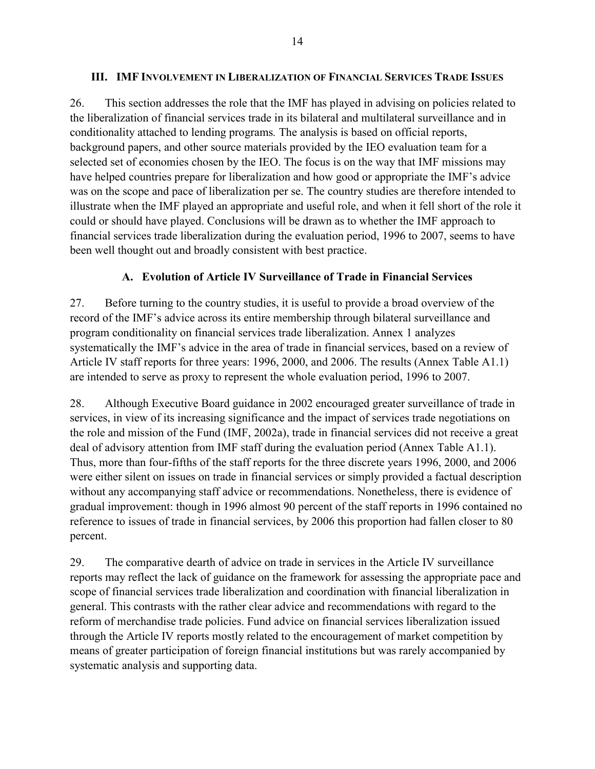### <span id="page-14-0"></span>**III. IMF INVOLVEMENT IN LIBERALIZATION OF FINANCIAL SERVICES TRADE ISSUES**

26. This section addresses the role that the IMF has played in advising on policies related to the liberalization of financial services trade in its bilateral and multilateral surveillance and in conditionality attached to lending programs*.* The analysis is based on official reports, background papers, and other source materials provided by the IEO evaluation team for a selected set of economies chosen by the IEO. The focus is on the way that IMF missions may have helped countries prepare for liberalization and how good or appropriate the IMF's advice was on the scope and pace of liberalization per se. The country studies are therefore intended to illustrate when the IMF played an appropriate and useful role, and when it fell short of the role it could or should have played. Conclusions will be drawn as to whether the IMF approach to financial services trade liberalization during the evaluation period, 1996 to 2007, seems to have been well thought out and broadly consistent with best practice.

## **A. Evolution of Article IV Surveillance of Trade in Financial Services**

27. Before turning to the country studies, it is useful to provide a broad overview of the record of the IMF's advice across its entire membership through bilateral surveillance and program conditionality on financial services trade liberalization. Annex 1 analyzes systematically the IMF's advice in the area of trade in financial services, based on a review of Article IV staff reports for three years: 1996, 2000, and 2006. The results (Annex Table A1.1) are intended to serve as proxy to represent the whole evaluation period, 1996 to 2007.

28. Although Executive Board guidance in 2002 encouraged greater surveillance of trade in services, in view of its increasing significance and the impact of services trade negotiations on the role and mission of the Fund (IMF, 2002a), trade in financial services did not receive a great deal of advisory attention from IMF staff during the evaluation period (Annex Table A1.1). Thus, more than four-fifths of the staff reports for the three discrete years 1996, 2000, and 2006 were either silent on issues on trade in financial services or simply provided a factual description without any accompanying staff advice or recommendations. Nonetheless, there is evidence of gradual improvement: though in 1996 almost 90 percent of the staff reports in 1996 contained no reference to issues of trade in financial services, by 2006 this proportion had fallen closer to 80 percent.

29. The comparative dearth of advice on trade in services in the Article IV surveillance reports may reflect the lack of guidance on the framework for assessing the appropriate pace and scope of financial services trade liberalization and coordination with financial liberalization in general. This contrasts with the rather clear advice and recommendations with regard to the reform of merchandise trade policies. Fund advice on financial services liberalization issued through the Article IV reports mostly related to the encouragement of market competition by means of greater participation of foreign financial institutions but was rarely accompanied by systematic analysis and supporting data.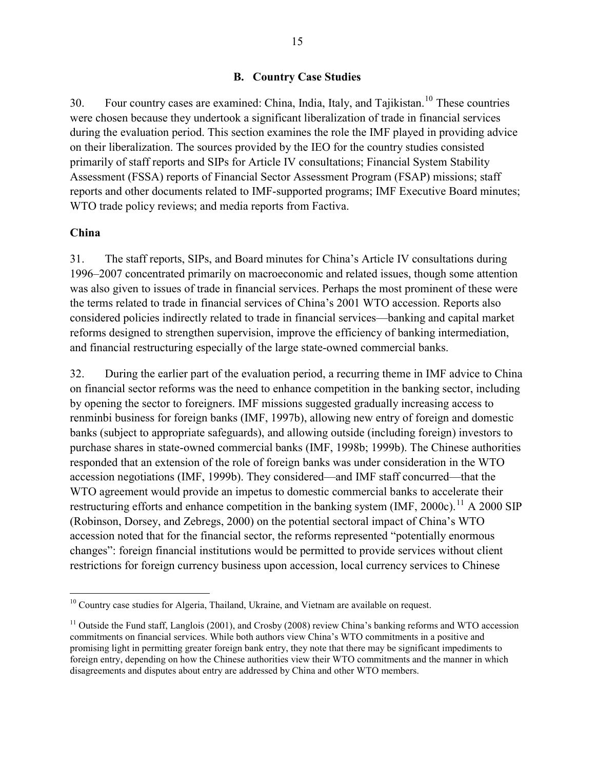#### **B. Country Case Studies**

<span id="page-15-0"></span>30. Four country cases are examined: China, India, Italy, and Tajikistan.<sup>[10](#page-15-1)</sup> These countries were chosen because they undertook a significant liberalization of trade in financial services during the evaluation period. This section examines the role the IMF played in providing advice on their liberalization. The sources provided by the IEO for the country studies consisted primarily of staff reports and SIPs for Article IV consultations; Financial System Stability Assessment (FSSA) reports of Financial Sector Assessment Program (FSAP) missions; staff reports and other documents related to IMF-supported programs; IMF Executive Board minutes; WTO trade policy reviews; and media reports from Factiva.

#### **China**

 $\overline{a}$ 

31. The staff reports, SIPs, and Board minutes for China's Article IV consultations during 1996–2007 concentrated primarily on macroeconomic and related issues, though some attention was also given to issues of trade in financial services. Perhaps the most prominent of these were the terms related to trade in financial services of China's 2001 WTO accession. Reports also considered policies indirectly related to trade in financial services—banking and capital market reforms designed to strengthen supervision, improve the efficiency of banking intermediation, and financial restructuring especially of the large state-owned commercial banks.

32. During the earlier part of the evaluation period, a recurring theme in IMF advice to China on financial sector reforms was the need to enhance competition in the banking sector, including by opening the sector to foreigners. IMF missions suggested gradually increasing access to renminbi business for foreign banks (IMF, 1997b), allowing new entry of foreign and domestic banks (subject to appropriate safeguards), and allowing outside (including foreign) investors to purchase shares in state-owned commercial banks (IMF, 1998b; 1999b). The Chinese authorities responded that an extension of the role of foreign banks was under consideration in the WTO accession negotiations (IMF, 1999b). They considered—and IMF staff concurred—that the WTO agreement would provide an impetus to domestic commercial banks to accelerate their restructuring efforts and enhance competition in the banking system (IMF,  $2000c$ ).<sup>[11](#page-15-2)</sup> A 2000 SIP (Robinson, Dorsey, and Zebregs, 2000) on the potential sectoral impact of China's WTO accession noted that for the financial sector, the reforms represented "potentially enormous changes": foreign financial institutions would be permitted to provide services without client restrictions for foreign currency business upon accession, local currency services to Chinese

<span id="page-15-1"></span><sup>&</sup>lt;sup>10</sup> Country case studies for Algeria, Thailand, Ukraine, and Vietnam are available on request.

<span id="page-15-2"></span> $11$  Outside the Fund staff, Langlois (2001), and Crosby (2008) review China's banking reforms and WTO accession commitments on financial services. While both authors view China's WTO commitments in a positive and promising light in permitting greater foreign bank entry, they note that there may be significant impediments to foreign entry, depending on how the Chinese authorities view their WTO commitments and the manner in which disagreements and disputes about entry are addressed by China and other WTO members.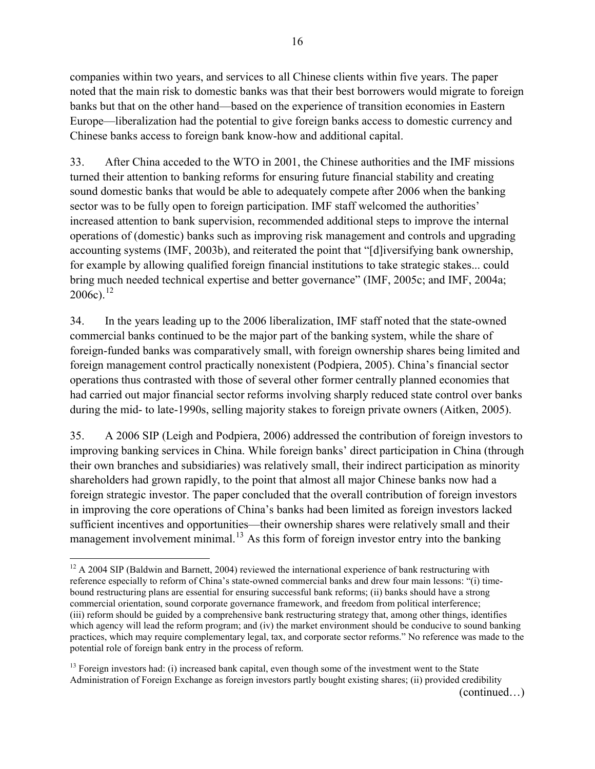<span id="page-16-0"></span>companies within two years, and services to all Chinese clients within five years. The paper noted that the main risk to domestic banks was that their best borrowers would migrate to foreign banks but that on the other hand—based on the experience of transition economies in Eastern Europe—liberalization had the potential to give foreign banks access to domestic currency and Chinese banks access to foreign bank know-how and additional capital.

33. After China acceded to the WTO in 2001, the Chinese authorities and the IMF missions turned their attention to banking reforms for ensuring future financial stability and creating sound domestic banks that would be able to adequately compete after 2006 when the banking sector was to be fully open to foreign participation. IMF staff welcomed the authorities' increased attention to bank supervision, recommended additional steps to improve the internal operations of (domestic) banks such as improving risk management and controls and upgrading accounting systems (IMF, 2003b), and reiterated the point that "[d]iversifying bank ownership, for example by allowing qualified foreign financial institutions to take strategic stakes... could bring much needed technical expertise and better governance" (IMF, 2005c; and IMF, 2004a;  $2006c$ ).<sup>[12](#page-16-0)</sup>

34. In the years leading up to the 2006 liberalization, IMF staff noted that the state-owned commercial banks continued to be the major part of the banking system, while the share of foreign-funded banks was comparatively small, with foreign ownership shares being limited and foreign management control practically nonexistent (Podpiera, 2005). China's financial sector operations thus contrasted with those of several other former centrally planned economies that had carried out major financial sector reforms involving sharply reduced state control over banks during the mid- to late-1990s, selling majority stakes to foreign private owners (Aitken, 2005).

35. A 2006 SIP (Leigh and Podpiera, 2006) addressed the contribution of foreign investors to improving banking services in China. While foreign banks' direct participation in China (through their own branches and subsidiaries) was relatively small, their indirect participation as minority shareholders had grown rapidly, to the point that almost all major Chinese banks now had a foreign strategic investor. The paper concluded that the overall contribution of foreign investors in improving the core operations of China's banks had been limited as foreign investors lacked sufficient incentives and opportunities—their ownership shares were relatively small and their management involvement minimal.<sup>[13](#page-16-0)</sup> As this form of foreign investor entry into the banking

 $\overline{a}$ <sup>12</sup> A 2004 SIP (Baldwin and Barnett, 2004) reviewed the international experience of bank restructuring with reference especially to reform of China's state-owned commercial banks and drew four main lessons: "(i) timebound restructuring plans are essential for ensuring successful bank reforms; (ii) banks should have a strong commercial orientation, sound corporate governance framework, and freedom from political interference; (iii) reform should be guided by a comprehensive bank restructuring strategy that, among other things, identifies which agency will lead the reform program; and (iv) the market environment should be conducive to sound banking practices, which may require complementary legal, tax, and corporate sector reforms." No reference was made to the potential role of foreign bank entry in the process of reform.

 $<sup>13</sup>$  Foreign investors had: (i) increased bank capital, even though some of the investment went to the State</sup> Administration of Foreign Exchange as foreign investors partly bought existing shares; (ii) provided credibility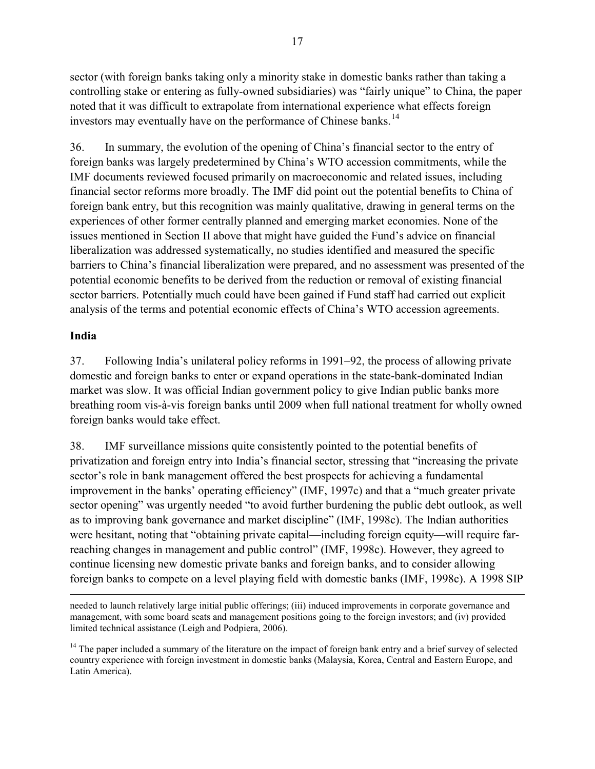sector (with foreign banks taking only a minority stake in domestic banks rather than taking a controlling stake or entering as fully-owned subsidiaries) was "fairly unique" to China, the paper noted that it was difficult to extrapolate from international experience what effects foreign investors may eventually have on the performance of Chinese banks.<sup>14</sup>

36. In summary, the evolution of the opening of China's financial sector to the entry of foreign banks was largely predetermined by China's WTO accession commitments, while the IMF documents reviewed focused primarily on macroeconomic and related issues, including financial sector reforms more broadly. The IMF did point out the potential benefits to China of foreign bank entry, but this recognition was mainly qualitative, drawing in general terms on the experiences of other former centrally planned and emerging market economies. None of the issues mentioned in Section II above that might have guided the Fund's advice on financial liberalization was addressed systematically, no studies identified and measured the specific barriers to China's financial liberalization were prepared, and no assessment was presented of the potential economic benefits to be derived from the reduction or removal of existing financial sector barriers. Potentially much could have been gained if Fund staff had carried out explicit analysis of the terms and potential economic effects of China's WTO accession agreements.

## **India**

37. Following India's unilateral policy reforms in 1991–92, the process of allowing private domestic and foreign banks to enter or expand operations in the state-bank-dominated Indian market was slow. It was official Indian government policy to give Indian public banks more breathing room vis-à-vis foreign banks until 2009 when full national treatment for wholly owned foreign banks would take effect.

38. IMF surveillance missions quite consistently pointed to the potential benefits of privatization and foreign entry into India's financial sector, stressing that "increasing the private sector's role in bank management offered the best prospects for achieving a fundamental improvement in the banks' operating efficiency" (IMF, 1997c) and that a "much greater private sector opening" was urgently needed "to avoid further burdening the public debt outlook, as well as to improving bank governance and market discipline" (IMF, 1998c). The Indian authorities were hesitant, noting that "obtaining private capital—including foreign equity—will require farreaching changes in management and public control" (IMF, 1998c). However, they agreed to continue licensing new domestic private banks and foreign banks, and to consider allowing foreign banks to compete on a level playing field with domestic banks (IMF, 1998c). A 1998 SIP

 needed to launch relatively large initial public offerings; (iii) induced improvements in corporate governance and management, with some board seats and management positions going to the foreign investors; and (iv) provided limited technical assistance (Leigh and Podpiera, 2006).

<sup>14</sup> The paper included a summary of the literature on the impact of foreign bank entry and a brief survey of selected country experience with foreign investment in domestic banks (Malaysia, Korea, Central and Eastern Europe, and Latin America).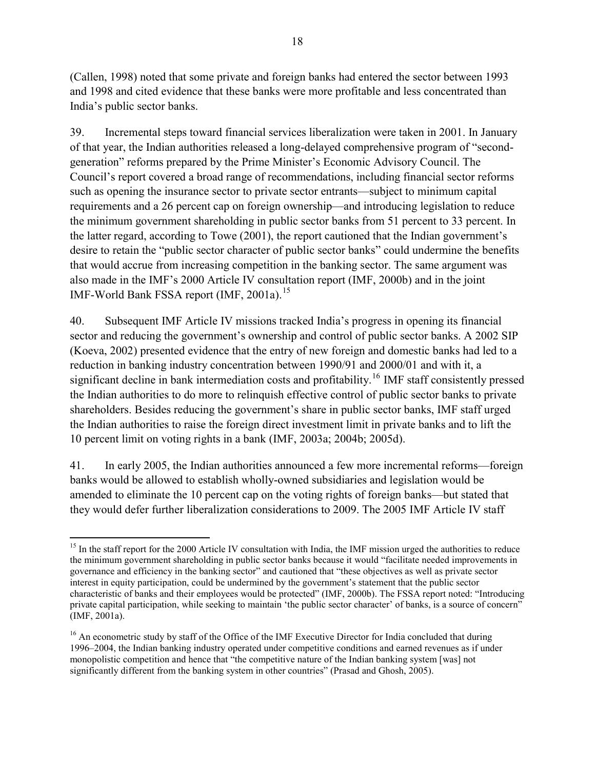<span id="page-18-0"></span>(Callen, 1998) noted that some private and foreign banks had entered the sector between 1993 and 1998 and cited evidence that these banks were more profitable and less concentrated than India's public sector banks.

39. Incremental steps toward financial services liberalization were taken in 2001. In January of that year, the Indian authorities released a long-delayed comprehensive program of "secondgeneration" reforms prepared by the Prime Minister's Economic Advisory Council. The Council's report covered a broad range of recommendations, including financial sector reforms such as opening the insurance sector to private sector entrants—subject to minimum capital requirements and a 26 percent cap on foreign ownership—and introducing legislation to reduce the minimum government shareholding in public sector banks from 51 percent to 33 percent. In the latter regard, according to Towe (2001), the report cautioned that the Indian government's desire to retain the "public sector character of public sector banks" could undermine the benefits that would accrue from increasing competition in the banking sector. The same argument was also made in the IMF's 2000 Article IV consultation report (IMF, 2000b) and in the joint IMF-World Bank FSSA report (IMF, 2001a).<sup>[15](#page-18-0)</sup>

40. Subsequent IMF Article IV missions tracked India's progress in opening its financial sector and reducing the government's ownership and control of public sector banks. A 2002 SIP (Koeva, 2002) presented evidence that the entry of new foreign and domestic banks had led to a reduction in banking industry concentration between 1990/91 and 2000/01 and with it, a significant decline in bank intermediation costs and profitability.<sup>[16](#page-18-0)</sup> IMF staff consistently pressed the Indian authorities to do more to relinquish effective control of public sector banks to private shareholders. Besides reducing the government's share in public sector banks, IMF staff urged the Indian authorities to raise the foreign direct investment limit in private banks and to lift the 10 percent limit on voting rights in a bank (IMF, 2003a; 2004b; 2005d).

41. In early 2005, the Indian authorities announced a few more incremental reforms—foreign banks would be allowed to establish wholly-owned subsidiaries and legislation would be amended to eliminate the 10 percent cap on the voting rights of foreign banks—but stated that they would defer further liberalization considerations to 2009. The 2005 IMF Article IV staff

 $\overline{a}$ <sup>15</sup> In the staff report for the 2000 Article IV consultation with India, the IMF mission urged the authorities to reduce the minimum government shareholding in public sector banks because it would "facilitate needed improvements in governance and efficiency in the banking sector" and cautioned that "these objectives as well as private sector interest in equity participation, could be undermined by the government's statement that the public sector characteristic of banks and their employees would be protected" (IMF, 2000b). The FSSA report noted: "Introducing private capital participation, while seeking to maintain 'the public sector character' of banks, is a source of concern" (IMF, 2001a).

<sup>&</sup>lt;sup>16</sup> An econometric study by staff of the Office of the IMF Executive Director for India concluded that during 1996–2004, the Indian banking industry operated under competitive conditions and earned revenues as if under monopolistic competition and hence that "the competitive nature of the Indian banking system [was] not significantly different from the banking system in other countries" (Prasad and Ghosh, 2005).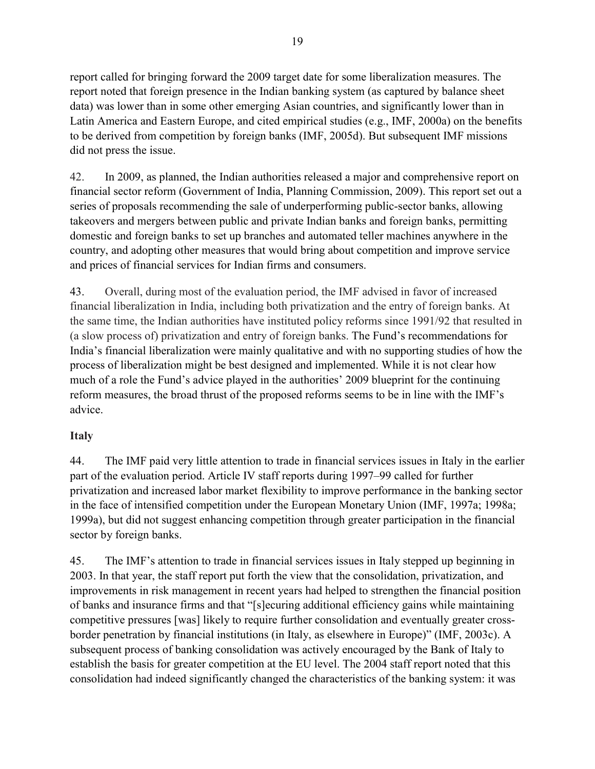report called for bringing forward the 2009 target date for some liberalization measures. The report noted that foreign presence in the Indian banking system (as captured by balance sheet data) was lower than in some other emerging Asian countries, and significantly lower than in Latin America and Eastern Europe, and cited empirical studies (e.g., IMF, 2000a) on the benefits to be derived from competition by foreign banks (IMF, 2005d). But subsequent IMF missions did not press the issue.

42. In 2009, as planned, the Indian authorities released a major and comprehensive report on financial sector reform (Government of India, Planning Commission, 2009). This report set out a series of proposals recommending the sale of underperforming public-sector banks, allowing takeovers and mergers between public and private Indian banks and foreign banks, permitting domestic and foreign banks to set up branches and automated teller machines anywhere in the country, and adopting other measures that would bring about competition and improve service and prices of financial services for Indian firms and consumers.

43. Overall, during most of the evaluation period, the IMF advised in favor of increased financial liberalization in India, including both privatization and the entry of foreign banks. At the same time, the Indian authorities have instituted policy reforms since 1991/92 that resulted in (a slow process of) privatization and entry of foreign banks. The Fund's recommendations for India's financial liberalization were mainly qualitative and with no supporting studies of how the process of liberalization might be best designed and implemented. While it is not clear how much of a role the Fund's advice played in the authorities' 2009 blueprint for the continuing reform measures, the broad thrust of the proposed reforms seems to be in line with the IMF's advice.

## **Italy**

44. The IMF paid very little attention to trade in financial services issues in Italy in the earlier part of the evaluation period. Article IV staff reports during 1997–99 called for further privatization and increased labor market flexibility to improve performance in the banking sector in the face of intensified competition under the European Monetary Union (IMF, 1997a; 1998a; 1999a), but did not suggest enhancing competition through greater participation in the financial sector by foreign banks.

45. The IMF's attention to trade in financial services issues in Italy stepped up beginning in 2003. In that year, the staff report put forth the view that the consolidation, privatization, and improvements in risk management in recent years had helped to strengthen the financial position of banks and insurance firms and that "[s]ecuring additional efficiency gains while maintaining competitive pressures [was] likely to require further consolidation and eventually greater crossborder penetration by financial institutions (in Italy, as elsewhere in Europe)" (IMF, 2003c). A subsequent process of banking consolidation was actively encouraged by the Bank of Italy to establish the basis for greater competition at the EU level. The 2004 staff report noted that this consolidation had indeed significantly changed the characteristics of the banking system: it was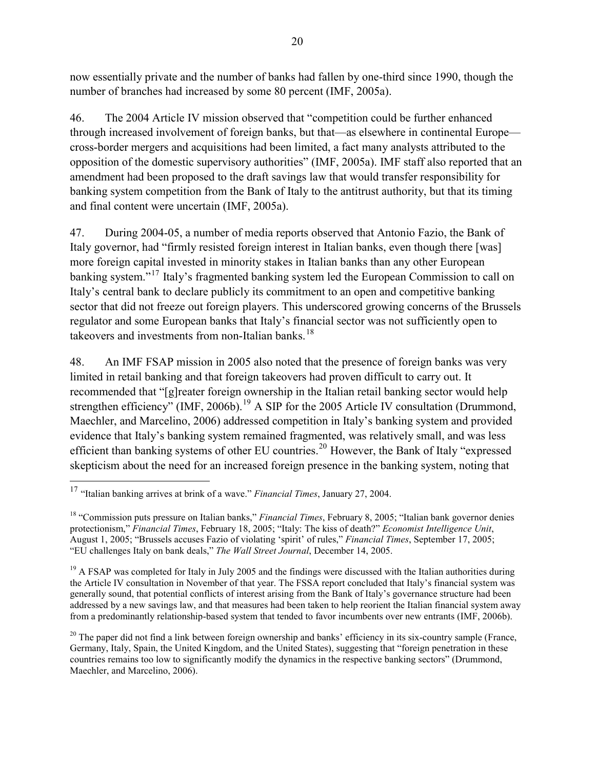<span id="page-20-0"></span>now essentially private and the number of banks had fallen by one-third since 1990, though the number of branches had increased by some 80 percent (IMF, 2005a).

46. The 2004 Article IV mission observed that "competition could be further enhanced through increased involvement of foreign banks, but that—as elsewhere in continental Europe cross-border mergers and acquisitions had been limited, a fact many analysts attributed to the opposition of the domestic supervisory authorities" (IMF, 2005a). IMF staff also reported that an amendment had been proposed to the draft savings law that would transfer responsibility for banking system competition from the Bank of Italy to the antitrust authority, but that its timing and final content were uncertain (IMF, 2005a).

47. During 2004-05, a number of media reports observed that Antonio Fazio, the Bank of Italy governor, had "firmly resisted foreign interest in Italian banks, even though there [was] more foreign capital invested in minority stakes in Italian banks than any other European banking system."<sup>[17](#page-20-0)</sup> Italy's fragmented banking system led the European Commission to call on Italy's central bank to declare publicly its commitment to an open and competitive banking sector that did not freeze out foreign players. This underscored growing concerns of the Brussels regulator and some European banks that Italy's financial sector was not sufficiently open to takeovers and investments from non-Italian banks.<sup>[18](#page-20-0)</sup>

48. An IMF FSAP mission in 2005 also noted that the presence of foreign banks was very limited in retail banking and that foreign takeovers had proven difficult to carry out. It recommended that "[g]reater foreign ownership in the Italian retail banking sector would help strengthen efficiency" (IMF, 2006b).<sup>[19](#page-20-0)</sup> A SIP for the 2005 Article IV consultation (Drummond, Maechler, and Marcelino, 2006) addressed competition in Italy's banking system and provided evidence that Italy's banking system remained fragmented, was relatively small, and was less efficient than banking systems of other EU countries.<sup>[20](#page-20-0)</sup> However, the Bank of Italy "expressed skepticism about the need for an increased foreign presence in the banking system, noting that

 $\overline{a}$ 

<sup>17</sup> "Italian banking arrives at brink of a wave." *Financial Times*, January 27, 2004.

<sup>18 &</sup>quot;Commission puts pressure on Italian banks," *Financial Times*, February 8, 2005; "Italian bank governor denies protectionism," *Financial Times*, February 18, 2005; "Italy: The kiss of death?" *Economist Intelligence Unit*, August 1, 2005; "Brussels accuses Fazio of violating 'spirit' of rules," *Financial Times*, September 17, 2005; "EU challenges Italy on bank deals," *The Wall Street Journal*, December 14, 2005.

<sup>&</sup>lt;sup>19</sup> A FSAP was completed for Italy in July 2005 and the findings were discussed with the Italian authorities during the Article IV consultation in November of that year. The FSSA report concluded that Italy's financial system was generally sound, that potential conflicts of interest arising from the Bank of Italy's governance structure had been addressed by a new savings law, and that measures had been taken to help reorient the Italian financial system away from a predominantly relationship-based system that tended to favor incumbents over new entrants (IMF, 2006b).

 $20$  The paper did not find a link between foreign ownership and banks' efficiency in its six-country sample (France, Germany, Italy, Spain, the United Kingdom, and the United States), suggesting that "foreign penetration in these countries remains too low to significantly modify the dynamics in the respective banking sectors" (Drummond, Maechler, and Marcelino, 2006).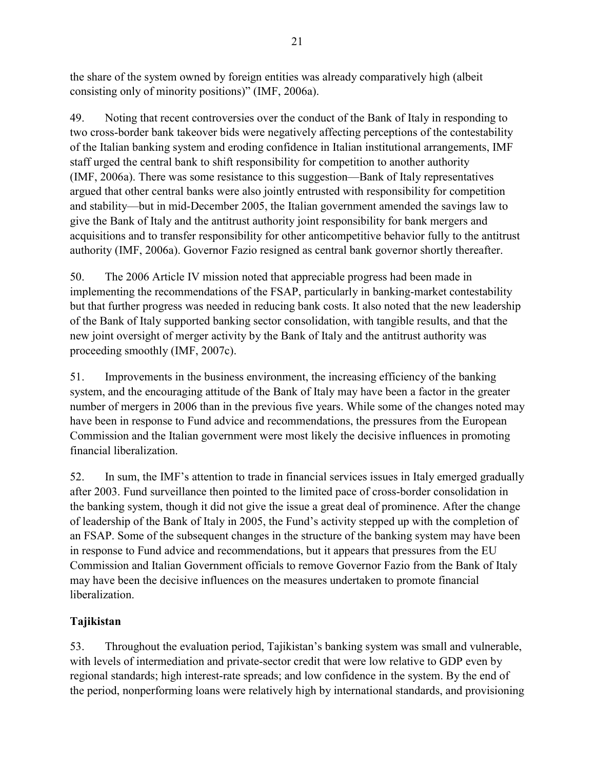the share of the system owned by foreign entities was already comparatively high (albeit consisting only of minority positions)" (IMF, 2006a).

49. Noting that recent controversies over the conduct of the Bank of Italy in responding to two cross-border bank takeover bids were negatively affecting perceptions of the contestability of the Italian banking system and eroding confidence in Italian institutional arrangements, IMF staff urged the central bank to shift responsibility for competition to another authority (IMF, 2006a). There was some resistance to this suggestion—Bank of Italy representatives argued that other central banks were also jointly entrusted with responsibility for competition and stability—but in mid-December 2005, the Italian government amended the savings law to give the Bank of Italy and the antitrust authority joint responsibility for bank mergers and acquisitions and to transfer responsibility for other anticompetitive behavior fully to the antitrust authority (IMF, 2006a). Governor Fazio resigned as central bank governor shortly thereafter.

50. The 2006 Article IV mission noted that appreciable progress had been made in implementing the recommendations of the FSAP, particularly in banking-market contestability but that further progress was needed in reducing bank costs. It also noted that the new leadership of the Bank of Italy supported banking sector consolidation, with tangible results, and that the new joint oversight of merger activity by the Bank of Italy and the antitrust authority was proceeding smoothly (IMF, 2007c).

51. Improvements in the business environment, the increasing efficiency of the banking system, and the encouraging attitude of the Bank of Italy may have been a factor in the greater number of mergers in 2006 than in the previous five years. While some of the changes noted may have been in response to Fund advice and recommendations, the pressures from the European Commission and the Italian government were most likely the decisive influences in promoting financial liberalization.

52. In sum, the IMF's attention to trade in financial services issues in Italy emerged gradually after 2003. Fund surveillance then pointed to the limited pace of cross-border consolidation in the banking system, though it did not give the issue a great deal of prominence. After the change of leadership of the Bank of Italy in 2005, the Fund's activity stepped up with the completion of an FSAP. Some of the subsequent changes in the structure of the banking system may have been in response to Fund advice and recommendations, but it appears that pressures from the EU Commission and Italian Government officials to remove Governor Fazio from the Bank of Italy may have been the decisive influences on the measures undertaken to promote financial liberalization.

# **Tajikistan**

53. Throughout the evaluation period, Tajikistan's banking system was small and vulnerable, with levels of intermediation and private-sector credit that were low relative to GDP even by regional standards; high interest-rate spreads; and low confidence in the system. By the end of the period, nonperforming loans were relatively high by international standards, and provisioning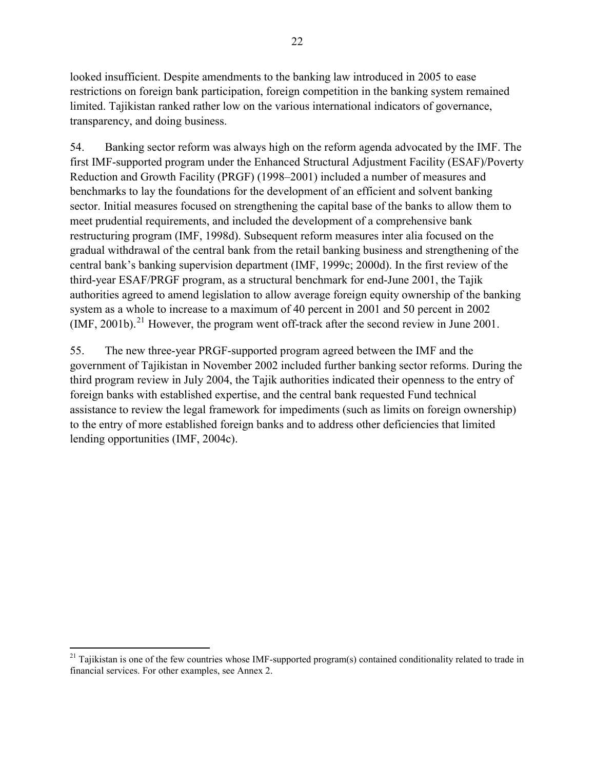22

<span id="page-22-0"></span>looked insufficient. Despite amendments to the banking law introduced in 2005 to ease restrictions on foreign bank participation, foreign competition in the banking system remained limited. Tajikistan ranked rather low on the various international indicators of governance, transparency, and doing business.

54. Banking sector reform was always high on the reform agenda advocated by the IMF. The first IMF-supported program under the Enhanced Structural Adjustment Facility (ESAF)/Poverty Reduction and Growth Facility (PRGF) (1998–2001) included a number of measures and benchmarks to lay the foundations for the development of an efficient and solvent banking sector. Initial measures focused on strengthening the capital base of the banks to allow them to meet prudential requirements, and included the development of a comprehensive bank restructuring program (IMF, 1998d). Subsequent reform measures inter alia focused on the gradual withdrawal of the central bank from the retail banking business and strengthening of the central bank's banking supervision department (IMF, 1999c; 2000d). In the first review of the third-year ESAF/PRGF program, as a structural benchmark for end-June 2001, the Tajik authorities agreed to amend legislation to allow average foreign equity ownership of the banking system as a whole to increase to a maximum of 40 percent in 2001 and 50 percent in 2002  $(MF, 2001b).$ <sup>[21](#page-22-0)</sup> However, the program went off-track after the second review in June 2001.

55. The new three-year PRGF-supported program agreed between the IMF and the government of Tajikistan in November 2002 included further banking sector reforms. During the third program review in July 2004, the Tajik authorities indicated their openness to the entry of foreign banks with established expertise, and the central bank requested Fund technical assistance to review the legal framework for impediments (such as limits on foreign ownership) to the entry of more established foreign banks and to address other deficiencies that limited lending opportunities (IMF, 2004c).

1

 $21$  Tajikistan is one of the few countries whose IMF-supported program(s) contained conditionality related to trade in financial services. For other examples, see Annex 2.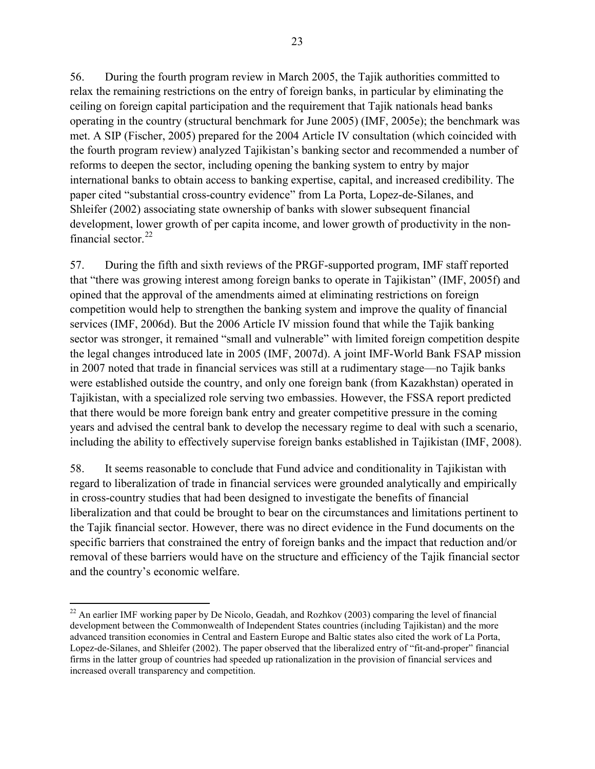<span id="page-23-0"></span>56. During the fourth program review in March 2005, the Tajik authorities committed to relax the remaining restrictions on the entry of foreign banks, in particular by eliminating the ceiling on foreign capital participation and the requirement that Tajik nationals head banks operating in the country (structural benchmark for June 2005) (IMF, 2005e); the benchmark was met. A SIP (Fischer, 2005) prepared for the 2004 Article IV consultation (which coincided with the fourth program review) analyzed Tajikistan's banking sector and recommended a number of reforms to deepen the sector, including opening the banking system to entry by major international banks to obtain access to banking expertise, capital, and increased credibility. The paper cited "substantial cross-country evidence" from La Porta, Lopez-de-Silanes, and Shleifer (2002) associating state ownership of banks with slower subsequent financial development, lower growth of per capita income, and lower growth of productivity in the nonfinancial sector. $22$ 

57. During the fifth and sixth reviews of the PRGF-supported program, IMF staff reported that "there was growing interest among foreign banks to operate in Tajikistan" (IMF, 2005f) and opined that the approval of the amendments aimed at eliminating restrictions on foreign competition would help to strengthen the banking system and improve the quality of financial services (IMF, 2006d). But the 2006 Article IV mission found that while the Tajik banking sector was stronger, it remained "small and vulnerable" with limited foreign competition despite the legal changes introduced late in 2005 (IMF, 2007d). A joint IMF-World Bank FSAP mission in 2007 noted that trade in financial services was still at a rudimentary stage—no Tajik banks were established outside the country, and only one foreign bank (from Kazakhstan) operated in Tajikistan, with a specialized role serving two embassies. However, the FSSA report predicted that there would be more foreign bank entry and greater competitive pressure in the coming years and advised the central bank to develop the necessary regime to deal with such a scenario, including the ability to effectively supervise foreign banks established in Tajikistan (IMF, 2008).

58. It seems reasonable to conclude that Fund advice and conditionality in Tajikistan with regard to liberalization of trade in financial services were grounded analytically and empirically in cross-country studies that had been designed to investigate the benefits of financial liberalization and that could be brought to bear on the circumstances and limitations pertinent to the Tajik financial sector. However, there was no direct evidence in the Fund documents on the specific barriers that constrained the entry of foreign banks and the impact that reduction and/or removal of these barriers would have on the structure and efficiency of the Tajik financial sector and the country's economic welfare.

 $\overline{a}$ 

<sup>&</sup>lt;sup>22</sup> An earlier IMF working paper by De Nicolo, Geadah, and Rozhkov (2003) comparing the level of financial development between the Commonwealth of Independent States countries (including Tajikistan) and the more advanced transition economies in Central and Eastern Europe and Baltic states also cited the work of La Porta, Lopez-de-Silanes, and Shleifer (2002). The paper observed that the liberalized entry of "fit-and-proper" financial firms in the latter group of countries had speeded up rationalization in the provision of financial services and increased overall transparency and competition.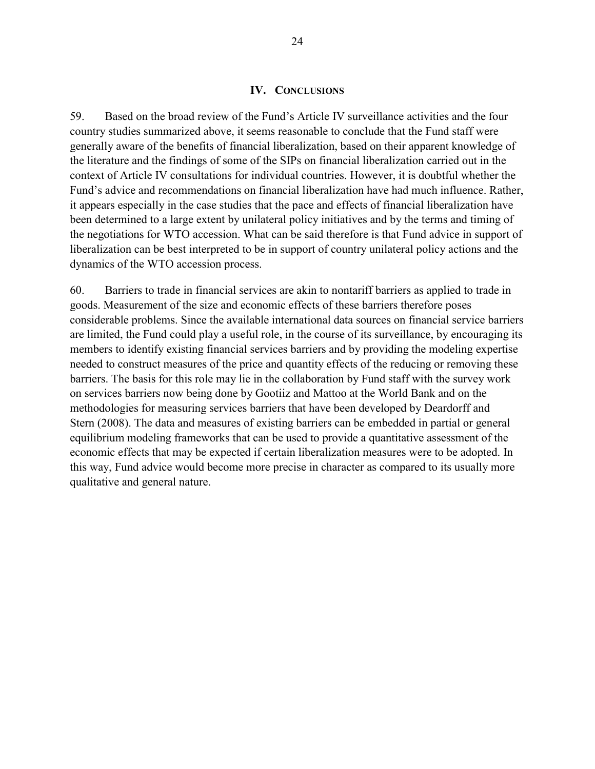<span id="page-24-0"></span>59. Based on the broad review of the Fund's Article IV surveillance activities and the four country studies summarized above, it seems reasonable to conclude that the Fund staff were generally aware of the benefits of financial liberalization, based on their apparent knowledge of the literature and the findings of some of the SIPs on financial liberalization carried out in the context of Article IV consultations for individual countries. However, it is doubtful whether the Fund's advice and recommendations on financial liberalization have had much influence. Rather, it appears especially in the case studies that the pace and effects of financial liberalization have been determined to a large extent by unilateral policy initiatives and by the terms and timing of the negotiations for WTO accession. What can be said therefore is that Fund advice in support of liberalization can be best interpreted to be in support of country unilateral policy actions and the dynamics of the WTO accession process.

60. Barriers to trade in financial services are akin to nontariff barriers as applied to trade in goods. Measurement of the size and economic effects of these barriers therefore poses considerable problems. Since the available international data sources on financial service barriers are limited, the Fund could play a useful role, in the course of its surveillance, by encouraging its members to identify existing financial services barriers and by providing the modeling expertise needed to construct measures of the price and quantity effects of the reducing or removing these barriers. The basis for this role may lie in the collaboration by Fund staff with the survey work on services barriers now being done by Gootiiz and Mattoo at the World Bank and on the methodologies for measuring services barriers that have been developed by Deardorff and Stern (2008). The data and measures of existing barriers can be embedded in partial or general equilibrium modeling frameworks that can be used to provide a quantitative assessment of the economic effects that may be expected if certain liberalization measures were to be adopted. In this way, Fund advice would become more precise in character as compared to its usually more qualitative and general nature.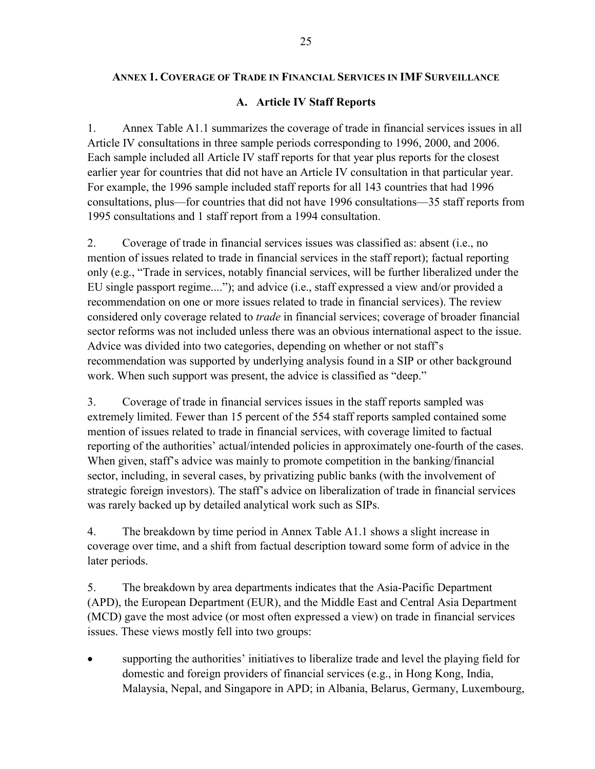## <span id="page-25-0"></span>**ANNEX 1. COVERAGE OF TRADE IN FINANCIAL SERVICES IN IMF SURVEILLANCE**

## **A. Article IV Staff Reports**

1. Annex Table A1.1 summarizes the coverage of trade in financial services issues in all Article IV consultations in three sample periods corresponding to 1996, 2000, and 2006. Each sample included all Article IV staff reports for that year plus reports for the closest earlier year for countries that did not have an Article IV consultation in that particular year. For example, the 1996 sample included staff reports for all 143 countries that had 1996 consultations, plus—for countries that did not have 1996 consultations—35 staff reports from 1995 consultations and 1 staff report from a 1994 consultation.

2. Coverage of trade in financial services issues was classified as: absent (i.e., no mention of issues related to trade in financial services in the staff report); factual reporting only (e.g., "Trade in services, notably financial services, will be further liberalized under the EU single passport regime...."); and advice (i.e., staff expressed a view and/or provided a recommendation on one or more issues related to trade in financial services). The review considered only coverage related to *trade* in financial services; coverage of broader financial sector reforms was not included unless there was an obvious international aspect to the issue. Advice was divided into two categories, depending on whether or not staff's recommendation was supported by underlying analysis found in a SIP or other background work. When such support was present, the advice is classified as "deep."

3. Coverage of trade in financial services issues in the staff reports sampled was extremely limited. Fewer than 15 percent of the 554 staff reports sampled contained some mention of issues related to trade in financial services, with coverage limited to factual reporting of the authorities' actual/intended policies in approximately one-fourth of the cases. When given, staff's advice was mainly to promote competition in the banking/financial sector, including, in several cases, by privatizing public banks (with the involvement of strategic foreign investors). The staff's advice on liberalization of trade in financial services was rarely backed up by detailed analytical work such as SIPs.

4. The breakdown by time period in Annex Table A1.1 shows a slight increase in coverage over time, and a shift from factual description toward some form of advice in the later periods.

5. The breakdown by area departments indicates that the Asia-Pacific Department (APD), the European Department (EUR), and the Middle East and Central Asia Department (MCD) gave the most advice (or most often expressed a view) on trade in financial services issues. These views mostly fell into two groups:

• supporting the authorities' initiatives to liberalize trade and level the playing field for domestic and foreign providers of financial services (e.g., in Hong Kong, India, Malaysia, Nepal, and Singapore in APD; in Albania, Belarus, Germany, Luxembourg,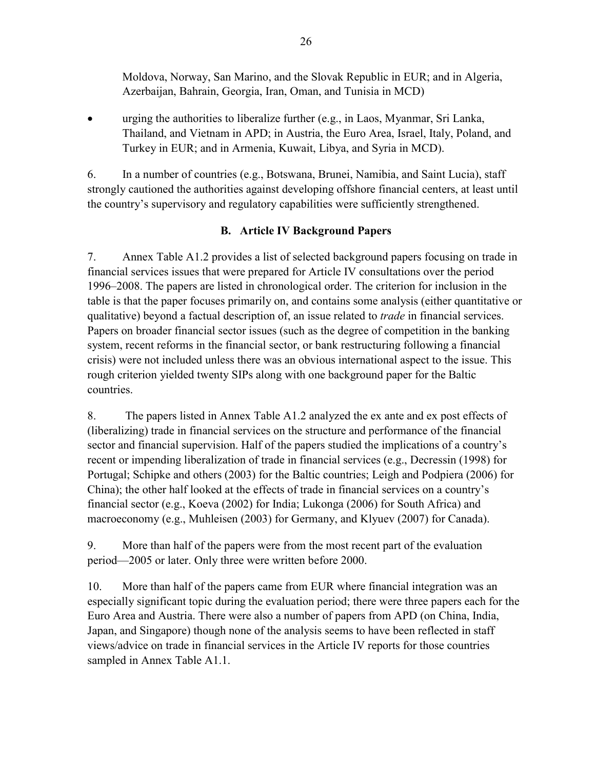Moldova, Norway, San Marino, and the Slovak Republic in EUR; and in Algeria, Azerbaijan, Bahrain, Georgia, Iran, Oman, and Tunisia in MCD)

• urging the authorities to liberalize further (e.g., in Laos, Myanmar, Sri Lanka, Thailand, and Vietnam in APD; in Austria, the Euro Area, Israel, Italy, Poland, and Turkey in EUR; and in Armenia, Kuwait, Libya, and Syria in MCD).

6. In a number of countries (e.g., Botswana, Brunei, Namibia, and Saint Lucia), staff strongly cautioned the authorities against developing offshore financial centers, at least until the country's supervisory and regulatory capabilities were sufficiently strengthened.

## **B. Article IV Background Papers**

7. Annex Table A1.2 provides a list of selected background papers focusing on trade in financial services issues that were prepared for Article IV consultations over the period 1996–2008. The papers are listed in chronological order. The criterion for inclusion in the table is that the paper focuses primarily on, and contains some analysis (either quantitative or qualitative) beyond a factual description of, an issue related to *trade* in financial services. Papers on broader financial sector issues (such as the degree of competition in the banking system, recent reforms in the financial sector, or bank restructuring following a financial crisis) were not included unless there was an obvious international aspect to the issue. This rough criterion yielded twenty SIPs along with one background paper for the Baltic countries.

8. The papers listed in Annex Table A1.2 analyzed the ex ante and ex post effects of (liberalizing) trade in financial services on the structure and performance of the financial sector and financial supervision. Half of the papers studied the implications of a country's recent or impending liberalization of trade in financial services (e.g., Decressin (1998) for Portugal; Schipke and others (2003) for the Baltic countries; Leigh and Podpiera (2006) for China); the other half looked at the effects of trade in financial services on a country's financial sector (e.g., Koeva (2002) for India; Lukonga (2006) for South Africa) and macroeconomy (e.g., Muhleisen (2003) for Germany, and Klyuev (2007) for Canada).

9. More than half of the papers were from the most recent part of the evaluation period—2005 or later. Only three were written before 2000.

10. More than half of the papers came from EUR where financial integration was an especially significant topic during the evaluation period; there were three papers each for the Euro Area and Austria. There were also a number of papers from APD (on China, India, Japan, and Singapore) though none of the analysis seems to have been reflected in staff views/advice on trade in financial services in the Article IV reports for those countries sampled in Annex Table A1.1.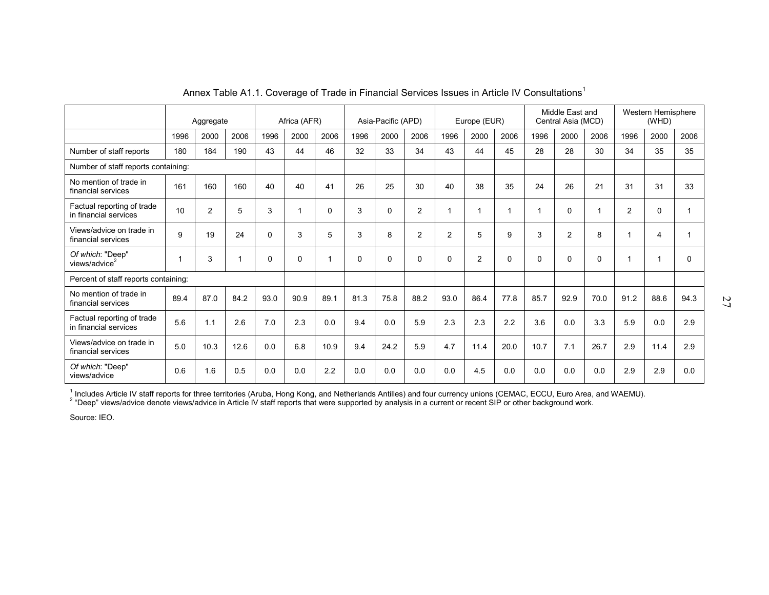|                                                     | Aggregate |                | Asia-Pacific (APD)<br>Africa (AFR) |      |          | Europe (EUR) |          | Middle East and<br>Central Asia (MCD) |                | Western Hemisphere<br>(WHD) |                |          |          |                |          |                |          |          |
|-----------------------------------------------------|-----------|----------------|------------------------------------|------|----------|--------------|----------|---------------------------------------|----------------|-----------------------------|----------------|----------|----------|----------------|----------|----------------|----------|----------|
|                                                     | 1996      | 2000           | 2006                               | 1996 | 2000     | 2006         | 1996     | 2000                                  | 2006           | 1996                        | 2000           | 2006     | 1996     | 2000           | 2006     | 1996           | 2000     | 2006     |
| Number of staff reports                             | 180       | 184            | 190                                | 43   | 44       | 46           | 32       | 33                                    | 34             | 43                          | 44             | 45       | 28       | 28             | 30       | 34             | 35       | 35       |
| Number of staff reports containing:                 |           |                |                                    |      |          |              |          |                                       |                |                             |                |          |          |                |          |                |          |          |
| No mention of trade in<br>financial services        | 161       | 160            | 160                                | 40   | 40       | 41           | 26       | 25                                    | 30             | 40                          | 38             | 35       | 24       | 26             | 21       | 31             | 31       | 33       |
| Factual reporting of trade<br>in financial services | 10        | $\overline{2}$ | 5                                  | 3    | 1        | $\Omega$     | 3        | $\Omega$                              | $\overline{2}$ |                             | $\mathbf{1}$   | 1        | r,       | $\Omega$       | 1        | $\overline{2}$ | $\Omega$ |          |
| Views/advice on trade in<br>financial services      | 9         | 19             | 24                                 | 0    | 3        | 5            | 3        | 8                                     | $\overline{2}$ | $\overline{2}$              | 5              | 9        | 3        | $\overline{c}$ | 8        |                | 4        |          |
| Of which: "Deep"<br>views/advice <sup>2</sup>       | 1         | 3              | 1                                  | 0    | $\Omega$ |              | $\Omega$ | $\Omega$                              | $\Omega$       | $\Omega$                    | $\overline{2}$ | $\Omega$ | $\Omega$ | $\Omega$       | $\Omega$ |                |          | $\Omega$ |
| Percent of staff reports containing:                |           |                |                                    |      |          |              |          |                                       |                |                             |                |          |          |                |          |                |          |          |
| No mention of trade in<br>financial services        | 89.4      | 87.0           | 84.2                               | 93.0 | 90.9     | 89.1         | 81.3     | 75.8                                  | 88.2           | 93.0                        | 86.4           | 77.8     | 85.7     | 92.9           | 70.0     | 91.2           | 88.6     | 94.3     |
| Factual reporting of trade<br>in financial services | 5.6       | 1.1            | 2.6                                | 7.0  | 2.3      | 0.0          | 9.4      | 0.0                                   | 5.9            | 2.3                         | 2.3            | 2.2      | 3.6      | 0.0            | 3.3      | 5.9            | 0.0      | 2.9      |
| Views/advice on trade in<br>financial services      | 5.0       | 10.3           | 12.6                               | 0.0  | 6.8      | 10.9         | 9.4      | 24.2                                  | 5.9            | 4.7                         | 11.4           | 20.0     | 10.7     | 7.1            | 26.7     | 2.9            | 11.4     | 2.9      |
| Of which: "Deep"<br>views/advice                    | 0.6       | 1.6            | 0.5                                | 0.0  | 0.0      | 2.2          | 0.0      | 0.0                                   | 0.0            | 0.0                         | 4.5            | 0.0      | 0.0      | 0.0            | 0.0      | 2.9            | 2.9      | 0.0      |

Annex Table A1.1. Coverage of Trade in Financial Services Issues in Article IV Consultations<sup>1</sup>

<sup>1</sup> Includes Article IV staff reports for three territories (Aruba, Hong Kong, and Netherlands Antilles) and four currency unions (CEMAC, ECCU, Euro Area, and WAEMU).<br><sup>2</sup> "Deep" views/advice denote views/advice in Article

Source: IEO.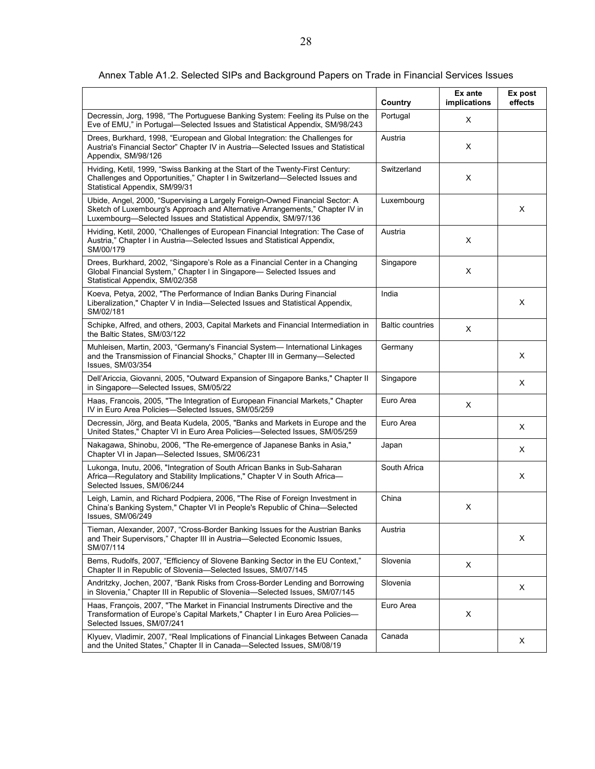|                                                                                                                                                                                                                                | Country                 | Ex ante<br>implications | Ex post<br>effects |
|--------------------------------------------------------------------------------------------------------------------------------------------------------------------------------------------------------------------------------|-------------------------|-------------------------|--------------------|
| Decressin, Jorg, 1998, "The Portuguese Banking System: Feeling its Pulse on the<br>Eve of EMU," in Portugal—Selected Issues and Statistical Appendix, SM/98/243                                                                | Portugal                | Χ                       |                    |
| Drees, Burkhard, 1998, "European and Global Integration: the Challenges for<br>Austria's Financial Sector" Chapter IV in Austria-Selected Issues and Statistical<br>Appendix, SM/98/126                                        | Austria                 | X                       |                    |
| Hviding, Ketil, 1999, "Swiss Banking at the Start of the Twenty-First Century:<br>Challenges and Opportunities," Chapter I in Switzerland-Selected Issues and<br>Statistical Appendix, SM/99/31                                | Switzerland             | X                       |                    |
| Ubide, Angel, 2000, "Supervising a Largely Foreign-Owned Financial Sector: A<br>Sketch of Luxembourg's Approach and Alternative Arrangements," Chapter IV in<br>Luxembourg-Selected Issues and Statistical Appendix, SM/97/136 | Luxembourg              |                         | X                  |
| Hviding, Ketil, 2000, "Challenges of European Financial Integration: The Case of<br>Austria," Chapter I in Austria-Selected Issues and Statistical Appendix,<br>SM/00/179                                                      | Austria                 | X                       |                    |
| Drees, Burkhard, 2002, "Singapore's Role as a Financial Center in a Changing<br>Global Financial System," Chapter I in Singapore-Selected Issues and<br>Statistical Appendix, SM/02/358                                        | Singapore               | X                       |                    |
| Koeva, Petya, 2002, "The Performance of Indian Banks During Financial<br>Liberalization," Chapter V in India-Selected Issues and Statistical Appendix,<br>SM/02/181                                                            | India                   |                         | X                  |
| Schipke, Alfred, and others, 2003, Capital Markets and Financial Intermediation in<br>the Baltic States, SM/03/122                                                                                                             | <b>Baltic countries</b> | X                       |                    |
| Muhleisen, Martin, 2003, "Germany's Financial System- International Linkages<br>and the Transmission of Financial Shocks," Chapter III in Germany-Selected<br>Issues, SM/03/354                                                | Germany                 |                         | X                  |
| Dell'Ariccia, Giovanni, 2005, "Outward Expansion of Singapore Banks," Chapter II<br>in Singapore-Selected Issues, SM/05/22                                                                                                     | Singapore               |                         | X                  |
| Haas, Francois, 2005, "The Integration of European Financial Markets," Chapter<br>IV in Euro Area Policies-Selected Issues, SM/05/259                                                                                          | Euro Area               | X                       |                    |
| Decressin, Jörg, and Beata Kudela, 2005, "Banks and Markets in Europe and the<br>United States," Chapter VI in Euro Area Policies-Selected Issues, SM/05/259                                                                   | Euro Area               |                         | Х                  |
| Nakagawa, Shinobu, 2006, "The Re-emergence of Japanese Banks in Asia,"<br>Chapter VI in Japan-Selected Issues, SM/06/231                                                                                                       | Japan                   |                         | X                  |
| Lukonga, Inutu, 2006, "Integration of South African Banks in Sub-Saharan<br>Africa-Regulatory and Stability Implications," Chapter V in South Africa-<br>Selected Issues, SM/06/244                                            | South Africa            |                         | X                  |
| Leigh, Lamin, and Richard Podpiera, 2006, "The Rise of Foreign Investment in<br>China's Banking System," Chapter VI in People's Republic of China-Selected<br>Issues, SM/06/249                                                | China                   | Х                       |                    |
| Tieman, Alexander, 2007, "Cross-Border Banking Issues for the Austrian Banks<br>and Their Supervisors," Chapter III in Austria-Selected Economic Issues,<br>SM/07/114                                                          | Austria                 |                         | Х                  |
| Bems, Rudolfs, 2007, "Efficiency of Slovene Banking Sector in the EU Context,"<br>Chapter II in Republic of Slovenia-Selected Issues, SM/07/145                                                                                | Slovenia                | Χ                       |                    |
| Andritzky, Jochen, 2007, "Bank Risks from Cross-Border Lending and Borrowing<br>in Slovenia," Chapter III in Republic of Slovenia-Selected Issues, SM/07/145                                                                   | Slovenia                |                         | Х                  |
| Haas, François, 2007, "The Market in Financial Instruments Directive and the<br>Transformation of Europe's Capital Markets," Chapter I in Euro Area Policies-<br>Selected Issues, SM/07/241                                    | Euro Area               | X                       |                    |
| Klyuev, Vladimir, 2007, "Real Implications of Financial Linkages Between Canada<br>and the United States," Chapter II in Canada-Selected Issues, SM/08/19                                                                      | Canada                  |                         | х                  |

## Annex Table A1.2. Selected SIPs and Background Papers on Trade in Financial Services Issues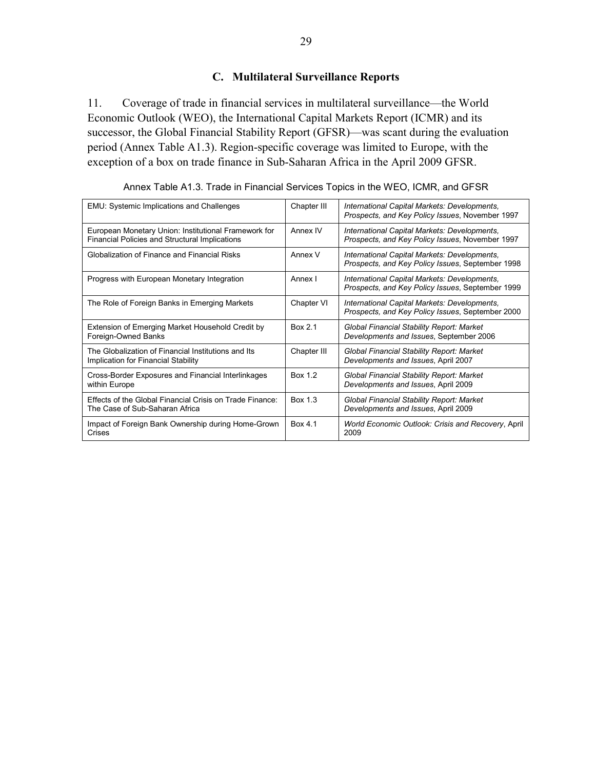## **C. Multilateral Surveillance Reports**

11. Coverage of trade in financial services in multilateral surveillance—the World Economic Outlook (WEO), the International Capital Markets Report (ICMR) and its successor, the Global Financial Stability Report (GFSR)—was scant during the evaluation period (Annex Table A1.3). Region-specific coverage was limited to Europe, with the exception of a box on trade finance in Sub-Saharan Africa in the April 2009 GFSR.

| EMU: Systemic Implications and Challenges                                                              | Chapter III    | International Capital Markets: Developments,<br>Prospects, and Key Policy Issues, November 1997  |
|--------------------------------------------------------------------------------------------------------|----------------|--------------------------------------------------------------------------------------------------|
| European Monetary Union: Institutional Framework for<br>Financial Policies and Structural Implications | Annex IV       | International Capital Markets: Developments,<br>Prospects, and Key Policy Issues, November 1997  |
| Globalization of Finance and Financial Risks                                                           | Annex V        | International Capital Markets: Developments,<br>Prospects, and Key Policy Issues, September 1998 |
| Progress with European Monetary Integration                                                            | Annex I        | International Capital Markets: Developments,<br>Prospects, and Key Policy Issues, September 1999 |
| The Role of Foreign Banks in Emerging Markets                                                          | Chapter VI     | International Capital Markets: Developments,<br>Prospects, and Key Policy Issues, September 2000 |
| Extension of Emerging Market Household Credit by<br>Foreign-Owned Banks                                | <b>Box 2.1</b> | Global Financial Stability Report: Market<br>Developments and Issues, September 2006             |
| The Globalization of Financial Institutions and Its<br>Implication for Financial Stability             | Chapter III    | Global Financial Stability Report: Market<br>Developments and Issues, April 2007                 |
| Cross-Border Exposures and Financial Interlinkages<br>within Europe                                    | <b>Box 1.2</b> | Global Financial Stability Report: Market<br>Developments and Issues, April 2009                 |
| Effects of the Global Financial Crisis on Trade Finance:<br>The Case of Sub-Saharan Africa             | Box 1.3        | Global Financial Stability Report: Market<br>Developments and Issues, April 2009                 |
| Impact of Foreign Bank Ownership during Home-Grown<br>Crises                                           | Box 4.1        | World Economic Outlook: Crisis and Recovery, April<br>2009                                       |

Annex Table A1.3. Trade in Financial Services Topics in the WEO, ICMR, and GFSR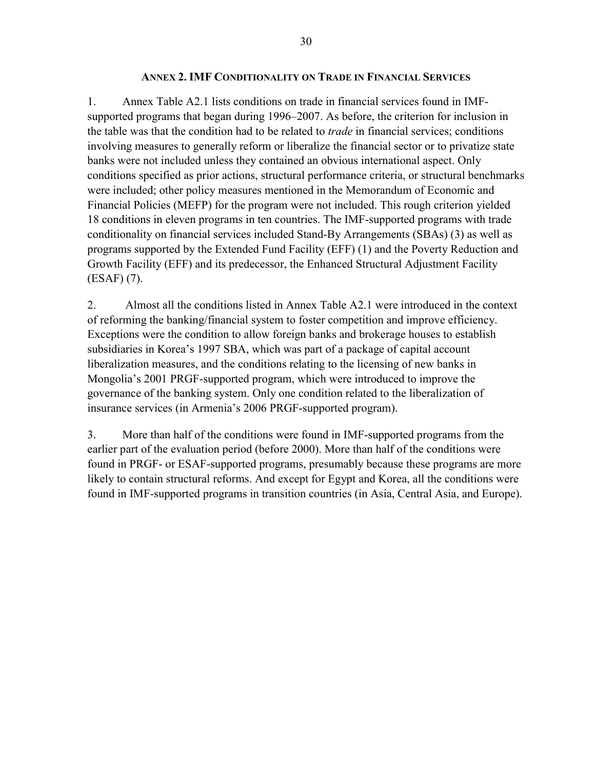#### **ANNEX 2. IMF CONDITIONALITY ON TRADE IN FINANCIAL SERVICES**

<span id="page-30-0"></span>1. Annex Table A2.1 lists conditions on trade in financial services found in IMFsupported programs that began during 1996–2007. As before, the criterion for inclusion in the table was that the condition had to be related to *trade* in financial services; conditions involving measures to generally reform or liberalize the financial sector or to privatize state banks were not included unless they contained an obvious international aspect. Only conditions specified as prior actions, structural performance criteria, or structural benchmarks were included; other policy measures mentioned in the Memorandum of Economic and Financial Policies (MEFP) for the program were not included. This rough criterion yielded 18 conditions in eleven programs in ten countries. The IMF-supported programs with trade conditionality on financial services included Stand-By Arrangements (SBAs) (3) as well as programs supported by the Extended Fund Facility (EFF) (1) and the Poverty Reduction and Growth Facility (EFF) and its predecessor, the Enhanced Structural Adjustment Facility (ESAF) (7).

2. Almost all the conditions listed in Annex Table A2.1 were introduced in the context of reforming the banking/financial system to foster competition and improve efficiency. Exceptions were the condition to allow foreign banks and brokerage houses to establish subsidiaries in Korea's 1997 SBA, which was part of a package of capital account liberalization measures, and the conditions relating to the licensing of new banks in Mongolia's 2001 PRGF-supported program, which were introduced to improve the governance of the banking system. Only one condition related to the liberalization of insurance services (in Armenia's 2006 PRGF-supported program).

3. More than half of the conditions were found in IMF-supported programs from the earlier part of the evaluation period (before 2000). More than half of the conditions were found in PRGF- or ESAF-supported programs, presumably because these programs are more likely to contain structural reforms. And except for Egypt and Korea, all the conditions were found in IMF-supported programs in transition countries (in Asia, Central Asia, and Europe).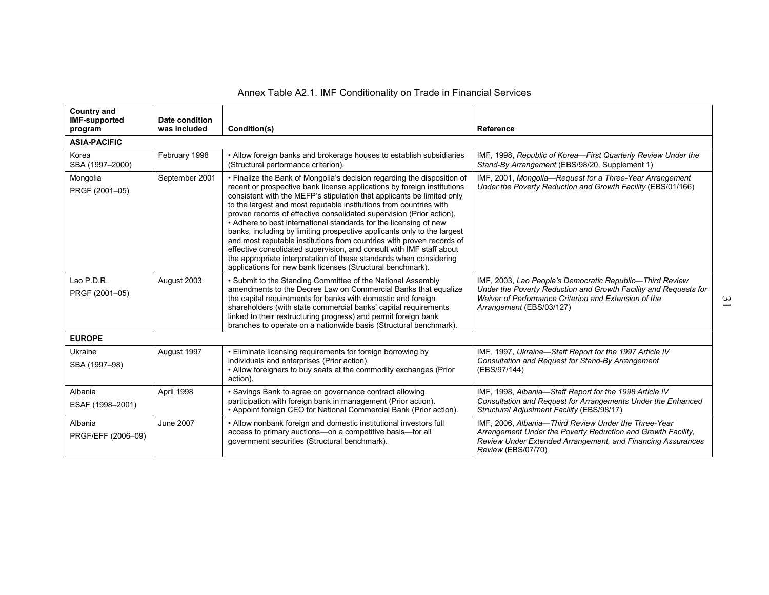| <b>Country and</b><br><b>IMF-supported</b><br>program | Date condition<br>was included | Condition(s)                                                                                                                                                                                                                                                                                                                                                                                                                                                                                                                                                                                                                                                                                                                                                                                                    | <b>Reference</b>                                                                                                                                                                                                 |
|-------------------------------------------------------|--------------------------------|-----------------------------------------------------------------------------------------------------------------------------------------------------------------------------------------------------------------------------------------------------------------------------------------------------------------------------------------------------------------------------------------------------------------------------------------------------------------------------------------------------------------------------------------------------------------------------------------------------------------------------------------------------------------------------------------------------------------------------------------------------------------------------------------------------------------|------------------------------------------------------------------------------------------------------------------------------------------------------------------------------------------------------------------|
| <b>ASIA-PACIFIC</b>                                   |                                |                                                                                                                                                                                                                                                                                                                                                                                                                                                                                                                                                                                                                                                                                                                                                                                                                 |                                                                                                                                                                                                                  |
| Korea<br>SBA (1997-2000)                              | February 1998                  | • Allow foreign banks and brokerage houses to establish subsidiaries<br>(Structural performance criterion).                                                                                                                                                                                                                                                                                                                                                                                                                                                                                                                                                                                                                                                                                                     | IMF, 1998, Republic of Korea-First Quarterly Review Under the<br>Stand-By Arrangement (EBS/98/20, Supplement 1)                                                                                                  |
| Mongolia<br>PRGF (2001-05)                            | September 2001                 | • Finalize the Bank of Mongolia's decision regarding the disposition of<br>recent or prospective bank license applications by foreign institutions<br>consistent with the MEFP's stipulation that applicants be limited only<br>to the largest and most reputable institutions from countries with<br>proven records of effective consolidated supervision (Prior action).<br>• Adhere to best international standards for the licensing of new<br>banks, including by limiting prospective applicants only to the largest<br>and most reputable institutions from countries with proven records of<br>effective consolidated supervision, and consult with IMF staff about<br>the appropriate interpretation of these standards when considering<br>applications for new bank licenses (Structural benchmark). | IMF, 2001, Mongolia-Request for a Three-Year Arrangement<br>Under the Poverty Reduction and Growth Facility (EBS/01/166)                                                                                         |
| Lao P.D.R.<br>PRGF (2001-05)                          | August 2003                    | • Submit to the Standing Committee of the National Assembly<br>amendments to the Decree Law on Commercial Banks that equalize<br>the capital requirements for banks with domestic and foreign<br>shareholders (with state commercial banks' capital requirements<br>linked to their restructuring progress) and permit foreign bank<br>branches to operate on a nationwide basis (Structural benchmark).                                                                                                                                                                                                                                                                                                                                                                                                        | IMF, 2003, Lao People's Democratic Republic-Third Review<br>Under the Poverty Reduction and Growth Facility and Requests for<br>Waiver of Performance Criterion and Extension of the<br>Arrangement (EBS/03/127) |
| <b>EUROPE</b>                                         |                                |                                                                                                                                                                                                                                                                                                                                                                                                                                                                                                                                                                                                                                                                                                                                                                                                                 |                                                                                                                                                                                                                  |
| Ukraine<br>SBA (1997-98)                              | August 1997                    | • Eliminate licensing requirements for foreign borrowing by<br>individuals and enterprises (Prior action).<br>• Allow foreigners to buy seats at the commodity exchanges (Prior<br>action).                                                                                                                                                                                                                                                                                                                                                                                                                                                                                                                                                                                                                     | IMF, 1997, Ukraine-Staff Report for the 1997 Article IV<br>Consultation and Request for Stand-By Arrangement<br>(EBS/97/144)                                                                                     |
| Albania<br>ESAF (1998-2001)                           | April 1998                     | • Savings Bank to agree on governance contract allowing<br>participation with foreign bank in management (Prior action).<br>• Appoint foreign CEO for National Commercial Bank (Prior action).                                                                                                                                                                                                                                                                                                                                                                                                                                                                                                                                                                                                                  | IMF, 1998, Albania-Staff Report for the 1998 Article IV<br>Consultation and Request for Arrangements Under the Enhanced<br>Structural Adjustment Facility (EBS/98/17)                                            |
| Albania<br>PRGF/EFF (2006-09)                         | June 2007                      | . Allow nonbank foreign and domestic institutional investors full<br>access to primary auctions-on a competitive basis-for all<br>government securities (Structural benchmark).                                                                                                                                                                                                                                                                                                                                                                                                                                                                                                                                                                                                                                 | IMF, 2006, Albania-Third Review Under the Three-Year<br>Arrangement Under the Poverty Reduction and Growth Facility,<br>Review Under Extended Arrangement, and Financing Assurances<br>Review (EBS/07/70)        |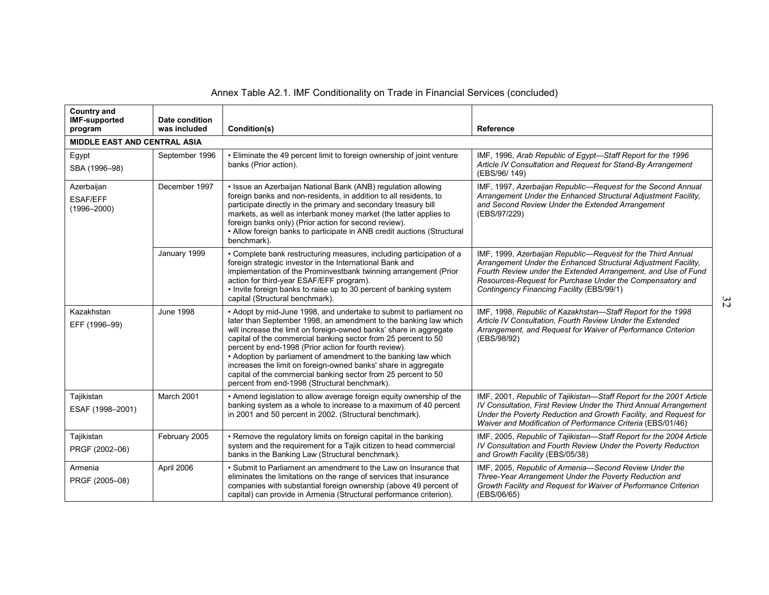| <b>Country and</b><br><b>IMF-supported</b><br>program | Date condition<br>was included | Condition(s)                                                                                                                                                                                                                                                                                                                                                                                                                                                                                                                                                                                   | Reference                                                                                                                                                                                                                                                                                                |  |  |  |
|-------------------------------------------------------|--------------------------------|------------------------------------------------------------------------------------------------------------------------------------------------------------------------------------------------------------------------------------------------------------------------------------------------------------------------------------------------------------------------------------------------------------------------------------------------------------------------------------------------------------------------------------------------------------------------------------------------|----------------------------------------------------------------------------------------------------------------------------------------------------------------------------------------------------------------------------------------------------------------------------------------------------------|--|--|--|
| <b>MIDDLE EAST AND CENTRAL ASIA</b>                   |                                |                                                                                                                                                                                                                                                                                                                                                                                                                                                                                                                                                                                                |                                                                                                                                                                                                                                                                                                          |  |  |  |
| Egypt<br>SBA (1996-98)                                | September 1996                 | . Eliminate the 49 percent limit to foreign ownership of joint venture<br>banks (Prior action).                                                                                                                                                                                                                                                                                                                                                                                                                                                                                                | IMF, 1996, Arab Republic of Egypt—Staff Report for the 1996<br>Article IV Consultation and Request for Stand-By Arrangement<br>(EBS/96/149)                                                                                                                                                              |  |  |  |
| Azerbaijan<br><b>ESAF/EFF</b><br>$(1996 - 2000)$      | December 1997                  | • Issue an Azerbaijan National Bank (ANB) regulation allowing<br>foreign banks and non-residents, in addition to all residents, to<br>participate directly in the primary and secondary treasury bill<br>markets, as well as interbank money market (the latter applies to<br>foreign banks only) (Prior action for second review).<br>• Allow foreign banks to participate in ANB credit auctions (Structural<br>benchmark).                                                                                                                                                                  | IMF, 1997, Azerbaijan Republic-Request for the Second Annual<br>Arrangement Under the Enhanced Structural Adjustment Facility,<br>and Second Review Under the Extended Arrangement<br>(EBS/97/229)                                                                                                       |  |  |  |
|                                                       | January 1999                   | • Complete bank restructuring measures, including participation of a<br>foreign strategic investor in the International Bank and<br>implementation of the Prominvestbank twinning arrangement (Prior<br>action for third-year ESAF/EFF program).<br>. Invite foreign banks to raise up to 30 percent of banking system<br>capital (Structural benchmark).                                                                                                                                                                                                                                      | IMF, 1999, Azerbaijan Republic-Request for the Third Annual<br>Arrangement Under the Enhanced Structural Adjustment Facility,<br>Fourth Review under the Extended Arrangement, and Use of Fund<br>Resources-Request for Purchase Under the Compensatory and<br>Contingency Financing Facility (EBS/99/1) |  |  |  |
| Kazakhstan<br>EFF (1996-99)                           | <b>June 1998</b>               | • Adopt by mid-June 1998, and undertake to submit to parliament no<br>later than September 1998, an amendment to the banking law which<br>will increase the limit on foreign-owned banks' share in aggregate<br>capital of the commercial banking sector from 25 percent to 50<br>percent by end-1998 (Prior action for fourth review).<br>• Adoption by parliament of amendment to the banking law which<br>increases the limit on foreign-owned banks' share in aggregate<br>capital of the commercial banking sector from 25 percent to 50<br>percent from end-1998 (Structural benchmark). | IMF, 1998, Republic of Kazakhstan-Staff Report for the 1998<br>Article IV Consultation, Fourth Review Under the Extended<br>Arrangement, and Request for Waiver of Performance Criterion<br>(EBS/98/92)                                                                                                  |  |  |  |
| Tajikistan<br>ESAF (1998-2001)                        | March 2001                     | . Amend legislation to allow average foreign equity ownership of the<br>banking system as a whole to increase to a maximum of 40 percent<br>in 2001 and 50 percent in 2002. (Structural benchmark).                                                                                                                                                                                                                                                                                                                                                                                            | IMF, 2001, Republic of Tajikistan-Staff Report for the 2001 Article<br>IV Consultation, First Review Under the Third Annual Arrangement<br>Under the Poverty Reduction and Growth Facility, and Request for<br>Waiver and Modification of Performance Criteria (EBS/01/46)                               |  |  |  |
| Tajikistan<br>PRGF (2002-06)                          | February 2005                  | • Remove the regulatory limits on foreign capital in the banking<br>system and the requirement for a Tajik citizen to head commercial<br>banks in the Banking Law (Structural benchmark).                                                                                                                                                                                                                                                                                                                                                                                                      | IMF, 2005, Republic of Tajikistan-Staff Report for the 2004 Article<br>IV Consultation and Fourth Review Under the Poverty Reduction<br>and Growth Facility (EBS/05/38)                                                                                                                                  |  |  |  |
| Armenia<br>PRGF (2005-08)                             | April 2006                     | • Submit to Parliament an amendment to the Law on Insurance that<br>eliminates the limitations on the range of services that insurance<br>companies with substantial foreign ownership (above 49 percent of<br>capital) can provide in Armenia (Structural performance criterion).                                                                                                                                                                                                                                                                                                             | IMF, 2005, Republic of Armenia-Second Review Under the<br>Three-Year Arrangement Under the Poverty Reduction and<br>Growth Facility and Request for Waiver of Performance Criterion<br>(EBS/06/65)                                                                                                       |  |  |  |

## Annex Table A2.1. IMF Conditionality on Trade in Financial Services (concluded)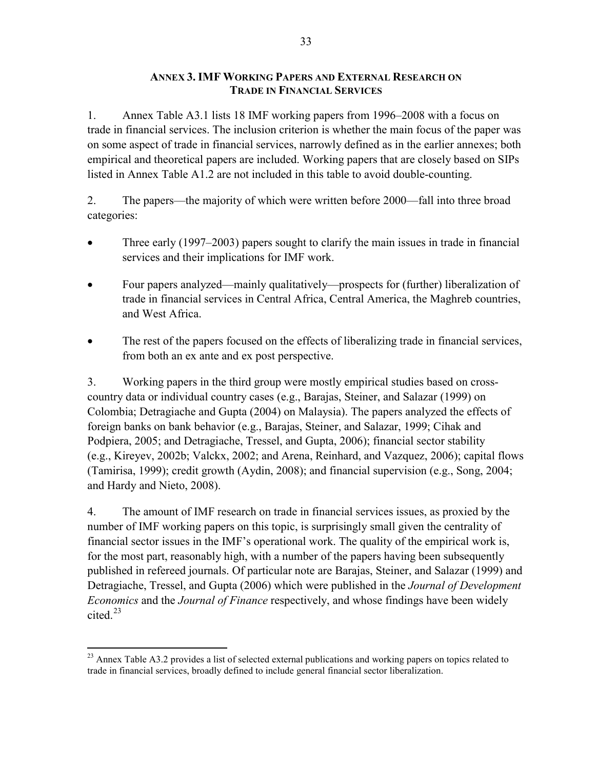#### **ANNEX 3. IMF WORKING PAPERS AND EXTERNAL RESEARCH ON TRADE IN FINANCIAL SERVICES**

<span id="page-33-0"></span>1. Annex Table A3.1 lists 18 IMF working papers from 1996–2008 with a focus on trade in financial services. The inclusion criterion is whether the main focus of the paper was on some aspect of trade in financial services, narrowly defined as in the earlier annexes; both empirical and theoretical papers are included. Working papers that are closely based on SIPs listed in Annex Table A1.2 are not included in this table to avoid double-counting.

2. The papers—the majority of which were written before 2000—fall into three broad categories:

- Three early (1997–2003) papers sought to clarify the main issues in trade in financial services and their implications for IMF work.
- Four papers analyzed—mainly qualitatively—prospects for (further) liberalization of trade in financial services in Central Africa, Central America, the Maghreb countries, and West Africa.
- The rest of the papers focused on the effects of liberalizing trade in financial services, from both an ex ante and ex post perspective.

3. Working papers in the third group were mostly empirical studies based on crosscountry data or individual country cases (e.g., Barajas, Steiner, and Salazar (1999) on Colombia; Detragiache and Gupta (2004) on Malaysia). The papers analyzed the effects of foreign banks on bank behavior (e.g., Barajas, Steiner, and Salazar, 1999; Cihak and Podpiera, 2005; and Detragiache, Tressel, and Gupta, 2006); financial sector stability (e.g., Kireyev, 2002b; Valckx, 2002; and Arena, Reinhard, and Vazquez, 2006); capital flows (Tamirisa, 1999); credit growth (Aydin, 2008); and financial supervision (e.g., Song, 2004; and Hardy and Nieto, 2008).

4. The amount of IMF research on trade in financial services issues, as proxied by the number of IMF working papers on this topic, is surprisingly small given the centrality of financial sector issues in the IMF's operational work. The quality of the empirical work is, for the most part, reasonably high, with a number of the papers having been subsequently published in refereed journals. Of particular note are Barajas, Steiner, and Salazar (1999) and Detragiache, Tressel, and Gupta (2006) which were published in the *Journal of Development Economics* and the *Journal of Finance* respectively, and whose findings have been widely cited. $^{23}$  $^{23}$  $^{23}$ 

 $\overline{a}$ 

 $^{23}$  Annex Table A3.2 provides a list of selected external publications and working papers on topics related to trade in financial services, broadly defined to include general financial sector liberalization.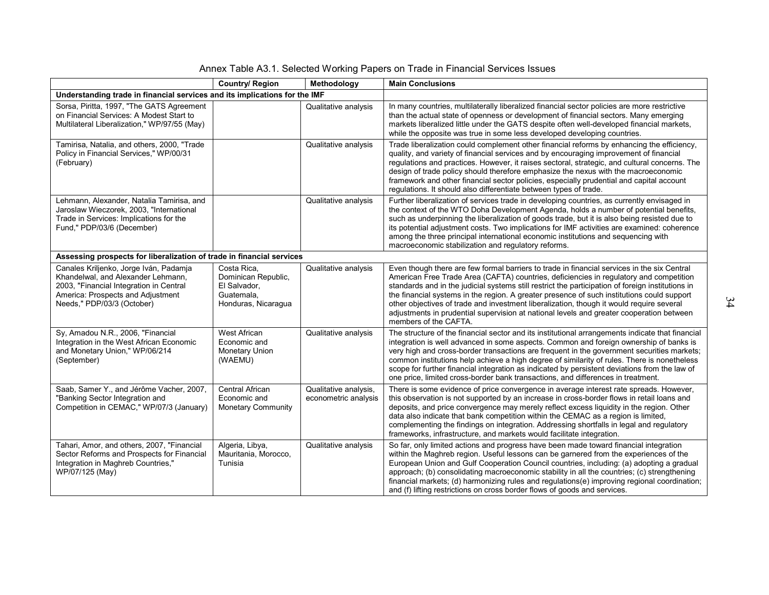| Annex Table A3.1. Selected Working Papers on Trade in Financial Services Issues |
|---------------------------------------------------------------------------------|
|---------------------------------------------------------------------------------|

|                                                                                                                                                                                            | <b>Country/ Region</b>                                                                  | Methodology                                   | <b>Main Conclusions</b>                                                                                                                                                                                                                                                                                                                                                                                                                                                                                                                                                                                   |
|--------------------------------------------------------------------------------------------------------------------------------------------------------------------------------------------|-----------------------------------------------------------------------------------------|-----------------------------------------------|-----------------------------------------------------------------------------------------------------------------------------------------------------------------------------------------------------------------------------------------------------------------------------------------------------------------------------------------------------------------------------------------------------------------------------------------------------------------------------------------------------------------------------------------------------------------------------------------------------------|
| Understanding trade in financial services and its implications for the IMF                                                                                                                 |                                                                                         |                                               |                                                                                                                                                                                                                                                                                                                                                                                                                                                                                                                                                                                                           |
| Sorsa, Piritta, 1997, "The GATS Agreement<br>on Financial Services: A Modest Start to<br>Multilateral Liberalization," WP/97/55 (May)                                                      |                                                                                         | Qualitative analysis                          | In many countries, multilaterally liberalized financial sector policies are more restrictive<br>than the actual state of openness or development of financial sectors. Many emerging<br>markets liberalized little under the GATS despite often well-developed financial markets,<br>while the opposite was true in some less developed developing countries.                                                                                                                                                                                                                                             |
| Tamirisa, Natalia, and others, 2000, "Trade<br>Policy in Financial Services," WP/00/31<br>(February)                                                                                       |                                                                                         | Qualitative analysis                          | Trade liberalization could complement other financial reforms by enhancing the efficiency,<br>quality, and variety of financial services and by encouraging improvement of financial<br>regulations and practices. However, it raises sectoral, strategic, and cultural concerns. The<br>design of trade policy should therefore emphasize the nexus with the macroeconomic<br>framework and other financial sector policies, especially prudential and capital account<br>regulations. It should also differentiate between types of trade.                                                              |
| Lehmann, Alexander, Natalia Tamirisa, and<br>Jaroslaw Wieczorek, 2003, "International<br>Trade in Services: Implications for the<br>Fund," PDP/03/6 (December)                             |                                                                                         | Qualitative analysis                          | Further liberalization of services trade in developing countries, as currently envisaged in<br>the context of the WTO Doha Development Agenda, holds a number of potential benefits,<br>such as underpinning the liberalization of goods trade, but it is also being resisted due to<br>its potential adjustment costs. Two implications for IMF activities are examined: coherence<br>among the three principal international economic institutions and sequencing with<br>macroeconomic stabilization and regulatory reforms.                                                                           |
| Assessing prospects for liberalization of trade in financial services                                                                                                                      |                                                                                         |                                               |                                                                                                                                                                                                                                                                                                                                                                                                                                                                                                                                                                                                           |
| Canales Kriljenko, Jorge Iván, Padamja<br>Khandelwal, and Alexander Lehmann,<br>2003, "Financial Integration in Central<br>America: Prospects and Adjustment<br>Needs," PDP/03/3 (October) | Costa Rica,<br>Dominican Republic,<br>El Salvador,<br>Guatemala.<br>Honduras, Nicaragua | Qualitative analysis                          | Even though there are few formal barriers to trade in financial services in the six Central<br>American Free Trade Area (CAFTA) countries, deficiencies in regulatory and competition<br>standards and in the judicial systems still restrict the participation of foreign institutions in<br>the financial systems in the region. A greater presence of such institutions could support<br>other objectives of trade and investment liberalization, though it would require several<br>adjustments in prudential supervision at national levels and greater cooperation between<br>members of the CAFTA. |
| Sy, Amadou N.R., 2006, "Financial<br>Integration in the West African Economic<br>and Monetary Union," WP/06/214<br>(September)                                                             | West African<br>Economic and<br>Monetary Union<br>(WAEMU)                               | Qualitative analysis                          | The structure of the financial sector and its institutional arrangements indicate that financial<br>integration is well advanced in some aspects. Common and foreign ownership of banks is<br>very high and cross-border transactions are frequent in the government securities markets;<br>common institutions help achieve a high degree of similarity of rules. There is nonetheless<br>scope for further financial integration as indicated by persistent deviations from the law of<br>one price, limited cross-border bank transactions, and differences in treatment.                              |
| Saab, Samer Y., and Jérôme Vacher, 2007,<br>"Banking Sector Integration and<br>Competition in CEMAC," WP/07/3 (January)                                                                    | Central African<br>Economic and<br>Monetary Community                                   | Qualitative analysis.<br>econometric analysis | There is some evidence of price convergence in average interest rate spreads. However,<br>this observation is not supported by an increase in cross-border flows in retail loans and<br>deposits, and price convergence may merely reflect excess liquidity in the region. Other<br>data also indicate that bank competition within the CEMAC as a region is limited,<br>complementing the findings on integration. Addressing shortfalls in legal and regulatory<br>frameworks, infrastructure, and markets would facilitate integration.                                                                |
| Tahari, Amor, and others, 2007, "Financial<br>Sector Reforms and Prospects for Financial<br>Integration in Maghreb Countries."<br>WP/07/125 (May)                                          | Algeria, Libya,<br>Mauritania, Morocco,<br>Tunisia                                      | Qualitative analysis                          | So far, only limited actions and progress have been made toward financial integration<br>within the Maghreb region. Useful lessons can be garnered from the experiences of the<br>European Union and Gulf Cooperation Council countries, including: (a) adopting a gradual<br>approach; (b) consolidating macroeconomic stability in all the countries; (c) strengthening<br>financial markets; (d) harmonizing rules and regulations(e) improving regional coordination;<br>and (f) lifting restrictions on cross border flows of goods and services.                                                    |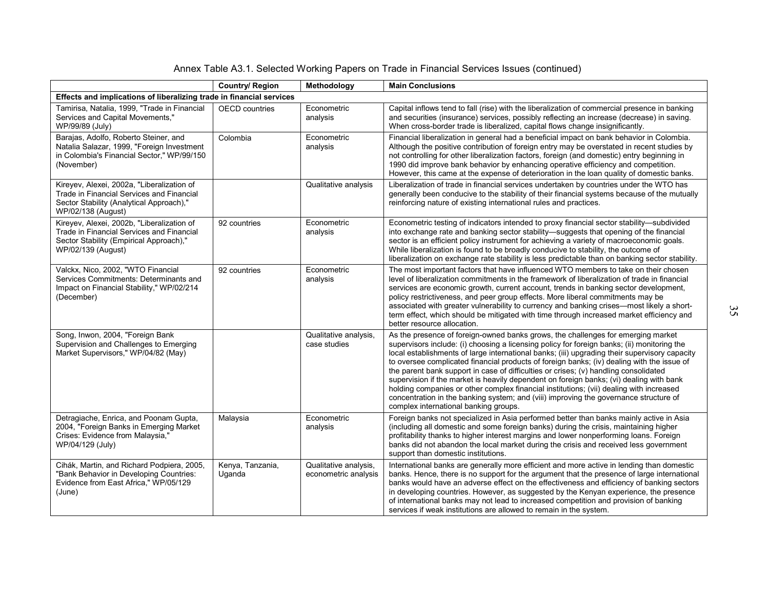| Annex Table A3.1. Selected Working Papers on Trade in Financial Services Issues (continued) |
|---------------------------------------------------------------------------------------------|
|---------------------------------------------------------------------------------------------|

|                                                                                                                                                           | <b>Country/ Region</b>     | Methodology                                   | <b>Main Conclusions</b>                                                                                                                                                                                                                                                                                                                                                                                                                                                                                                                                                                                                                                                                                                                                                                        |
|-----------------------------------------------------------------------------------------------------------------------------------------------------------|----------------------------|-----------------------------------------------|------------------------------------------------------------------------------------------------------------------------------------------------------------------------------------------------------------------------------------------------------------------------------------------------------------------------------------------------------------------------------------------------------------------------------------------------------------------------------------------------------------------------------------------------------------------------------------------------------------------------------------------------------------------------------------------------------------------------------------------------------------------------------------------------|
| Effects and implications of liberalizing trade in financial services                                                                                      |                            |                                               |                                                                                                                                                                                                                                                                                                                                                                                                                                                                                                                                                                                                                                                                                                                                                                                                |
| Tamirisa, Natalia, 1999, "Trade in Financial<br>Services and Capital Movements,"<br>WP/99/89 (July)                                                       | <b>OECD</b> countries      | Econometric<br>analysis                       | Capital inflows tend to fall (rise) with the liberalization of commercial presence in banking<br>and securities (insurance) services, possibly reflecting an increase (decrease) in saving.<br>When cross-border trade is liberalized, capital flows change insignificantly.                                                                                                                                                                                                                                                                                                                                                                                                                                                                                                                   |
| Barajas, Adolfo, Roberto Steiner, and<br>Natalia Salazar, 1999, "Foreign Investment<br>in Colombia's Financial Sector," WP/99/150<br>(November)           | Colombia                   | Econometric<br>analysis                       | Financial liberalization in general had a beneficial impact on bank behavior in Colombia.<br>Although the positive contribution of foreign entry may be overstated in recent studies by<br>not controlling for other liberalization factors, foreign (and domestic) entry beginning in<br>1990 did improve bank behavior by enhancing operative efficiency and competition.<br>However, this came at the expense of deterioration in the loan quality of domestic banks.                                                                                                                                                                                                                                                                                                                       |
| Kireyev, Alexei, 2002a, "Liberalization of<br>Trade in Financial Services and Financial<br>Sector Stability (Analytical Approach),"<br>WP/02/138 (August) |                            | Qualitative analysis                          | Liberalization of trade in financial services undertaken by countries under the WTO has<br>generally been conducive to the stability of their financial systems because of the mutually<br>reinforcing nature of existing international rules and practices.                                                                                                                                                                                                                                                                                                                                                                                                                                                                                                                                   |
| Kireyev, Alexei, 2002b, "Liberalization of<br>Trade in Financial Services and Financial<br>Sector Stability (Empirical Approach),"<br>WP/02/139 (August)  | 92 countries               | Econometric<br>analysis                       | Econometric testing of indicators intended to proxy financial sector stability—subdivided<br>into exchange rate and banking sector stability-suggests that opening of the financial<br>sector is an efficient policy instrument for achieving a variety of macroeconomic goals.<br>While liberalization is found to be broadly conducive to stability, the outcome of<br>liberalization on exchange rate stability is less predictable than on banking sector stability.                                                                                                                                                                                                                                                                                                                       |
| Valckx, Nico, 2002, "WTO Financial<br>Services Commitments: Determinants and<br>Impact on Financial Stability," WP/02/214<br>(December)                   | 92 countries               | Econometric<br>analysis                       | The most important factors that have influenced WTO members to take on their chosen<br>level of liberalization commitments in the framework of liberalization of trade in financial<br>services are economic growth, current account, trends in banking sector development,<br>policy restrictiveness, and peer group effects. More liberal commitments may be<br>associated with greater vulnerability to currency and banking crises—most likely a short-<br>term effect, which should be mitigated with time through increased market efficiency and<br>better resource allocation.                                                                                                                                                                                                         |
| Song, Inwon, 2004, "Foreign Bank<br>Supervision and Challenges to Emerging<br>Market Supervisors," WP/04/82 (May)                                         |                            | Qualitative analysis,<br>case studies         | As the presence of foreign-owned banks grows, the challenges for emerging market<br>supervisors include: (i) choosing a licensing policy for foreign banks; (ii) monitoring the<br>local establishments of large international banks; (iii) upgrading their supervisory capacity<br>to oversee complicated financial products of foreign banks; (iv) dealing with the issue of<br>the parent bank support in case of difficulties or crises; (v) handling consolidated<br>supervision if the market is heavily dependent on foreign banks; (vi) dealing with bank<br>holding companies or other complex financial institutions; (vii) dealing with increased<br>concentration in the banking system; and (viii) improving the governance structure of<br>complex international banking groups. |
| Detragiache, Enrica, and Poonam Gupta,<br>2004, "Foreign Banks in Emerging Market<br>Crises: Evidence from Malaysia,"<br>WP/04/129 (July)                 | Malaysia                   | Econometric<br>analysis                       | Foreign banks not specialized in Asia performed better than banks mainly active in Asia<br>(including all domestic and some foreign banks) during the crisis, maintaining higher<br>profitability thanks to higher interest margins and lower nonperforming loans. Foreign<br>banks did not abandon the local market during the crisis and received less government<br>support than domestic institutions.                                                                                                                                                                                                                                                                                                                                                                                     |
| Cihák, Martin, and Richard Podpiera, 2005,<br>"Bank Behavior in Developing Countries:<br>Evidence from East Africa," WP/05/129<br>(June)                  | Kenya, Tanzania,<br>Uganda | Qualitative analysis,<br>econometric analysis | International banks are generally more efficient and more active in lending than domestic<br>banks. Hence, there is no support for the argument that the presence of large international<br>banks would have an adverse effect on the effectiveness and efficiency of banking sectors<br>in developing countries. However, as suggested by the Kenyan experience, the presence<br>of international banks may not lead to increased competition and provision of banking<br>services if weak institutions are allowed to remain in the system.                                                                                                                                                                                                                                                  |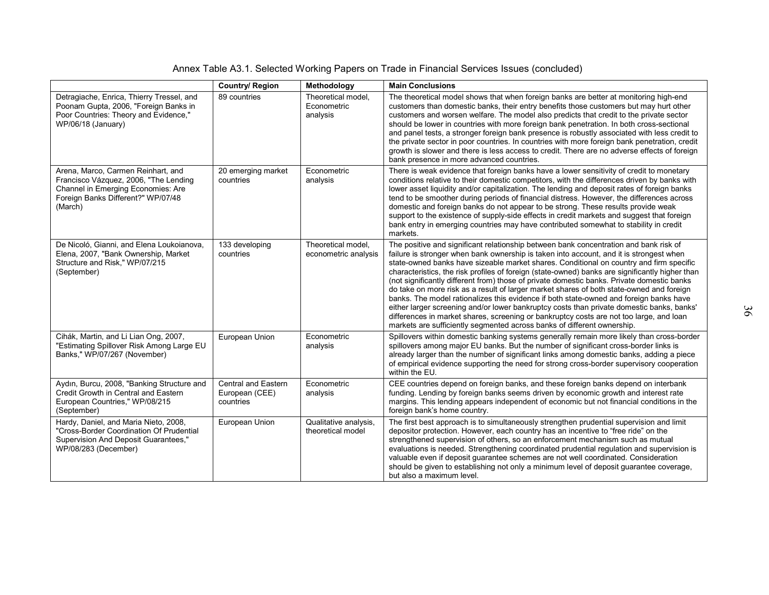|                                                                                                                                                                    | <b>Country/ Region</b>                             | Methodology                                   | <b>Main Conclusions</b>                                                                                                                                                                                                                                                                                                                                                                                                                                                                                                                                                                                                                                                                                                                                                                                                                                                                                                               |
|--------------------------------------------------------------------------------------------------------------------------------------------------------------------|----------------------------------------------------|-----------------------------------------------|---------------------------------------------------------------------------------------------------------------------------------------------------------------------------------------------------------------------------------------------------------------------------------------------------------------------------------------------------------------------------------------------------------------------------------------------------------------------------------------------------------------------------------------------------------------------------------------------------------------------------------------------------------------------------------------------------------------------------------------------------------------------------------------------------------------------------------------------------------------------------------------------------------------------------------------|
| Detragiache, Enrica, Thierry Tressel, and<br>Poonam Gupta, 2006, "Foreign Banks in<br>Poor Countries: Theory and Evidence,"<br>WP/06/18 (January)                  | 89 countries                                       | Theoretical model,<br>Econometric<br>analysis | The theoretical model shows that when foreign banks are better at monitoring high-end<br>customers than domestic banks, their entry benefits those customers but may hurt other<br>customers and worsen welfare. The model also predicts that credit to the private sector<br>should be lower in countries with more foreign bank penetration. In both cross-sectional<br>and panel tests, a stronger foreign bank presence is robustly associated with less credit to<br>the private sector in poor countries. In countries with more foreign bank penetration, credit<br>growth is slower and there is less access to credit. There are no adverse effects of foreign<br>bank presence in more advanced countries.                                                                                                                                                                                                                  |
| Arena, Marco, Carmen Reinhart, and<br>Francisco Vázquez, 2006, "The Lending<br>Channel in Emerging Economies: Are<br>Foreign Banks Different?" WP/07/48<br>(March) | 20 emerging market<br>countries                    | Econometric<br>analysis                       | There is weak evidence that foreign banks have a lower sensitivity of credit to monetary<br>conditions relative to their domestic competitors, with the differences driven by banks with<br>lower asset liquidity and/or capitalization. The lending and deposit rates of foreign banks<br>tend to be smoother during periods of financial distress. However, the differences across<br>domestic and foreign banks do not appear to be strong. These results provide weak<br>support to the existence of supply-side effects in credit markets and suggest that foreign<br>bank entry in emerging countries may have contributed somewhat to stability in credit<br>markets.                                                                                                                                                                                                                                                          |
| De Nicoló, Gianni, and Elena Loukoianova,<br>Elena, 2007, "Bank Ownership, Market<br>Structure and Risk," WP/07/215<br>(September)                                 | 133 developing<br>countries                        | Theoretical model,<br>econometric analysis    | The positive and significant relationship between bank concentration and bank risk of<br>failure is stronger when bank ownership is taken into account, and it is strongest when<br>state-owned banks have sizeable market shares. Conditional on country and firm specific<br>characteristics, the risk profiles of foreign (state-owned) banks are significantly higher than<br>(not significantly different from) those of private domestic banks. Private domestic banks<br>do take on more risk as a result of larger market shares of both state-owned and foreign<br>banks. The model rationalizes this evidence if both state-owned and foreign banks have<br>either larger screening and/or lower bankruptcy costs than private domestic banks, banks'<br>differences in market shares, screening or bankruptcy costs are not too large, and loan<br>markets are sufficiently segmented across banks of different ownership. |
| Cihák, Martin, and Li Lian Ong, 2007,<br>"Estimating Spillover Risk Among Large EU<br>Banks," WP/07/267 (November)                                                 | European Union                                     | Econometric<br>analysis                       | Spillovers within domestic banking systems generally remain more likely than cross-border<br>spillovers among major EU banks. But the number of significant cross-border links is<br>already larger than the number of significant links among domestic banks, adding a piece<br>of empirical evidence supporting the need for strong cross-border supervisory cooperation<br>within the EU.                                                                                                                                                                                                                                                                                                                                                                                                                                                                                                                                          |
| Aydın, Burcu, 2008, "Banking Structure and<br>Credit Growth in Central and Eastern<br>European Countries," WP/08/215<br>(September)                                | Central and Eastern<br>European (CEE)<br>countries | Econometric<br>analysis                       | CEE countries depend on foreign banks, and these foreign banks depend on interbank<br>funding. Lending by foreign banks seems driven by economic growth and interest rate<br>margins. This lending appears independent of economic but not financial conditions in the<br>foreign bank's home country.                                                                                                                                                                                                                                                                                                                                                                                                                                                                                                                                                                                                                                |
| Hardy, Daniel, and Maria Nieto, 2008,<br>"Cross-Border Coordination Of Prudential<br>Supervision And Deposit Guarantees,"<br>WP/08/283 (December)                  | European Union                                     | Qualitative analysis.<br>theoretical model    | The first best approach is to simultaneously strengthen prudential supervision and limit<br>depositor protection. However, each country has an incentive to "free ride" on the<br>strengthened supervision of others, so an enforcement mechanism such as mutual<br>evaluations is needed. Strengthening coordinated prudential regulation and supervision is<br>valuable even if deposit guarantee schemes are not well coordinated. Consideration<br>should be given to establishing not only a minimum level of deposit guarantee coverage,<br>but also a maximum level.                                                                                                                                                                                                                                                                                                                                                           |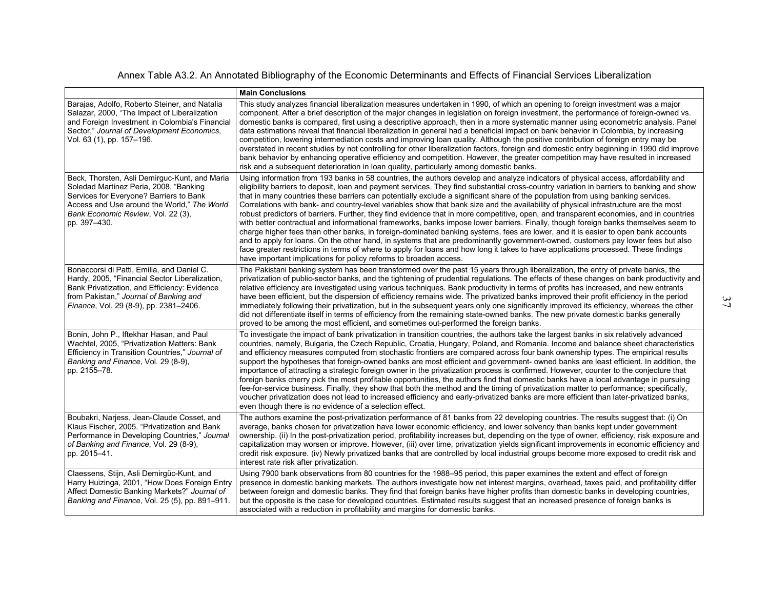Annex Table A3.2. An Annotated Bibliography of the Economic Determinants and Effects of Financial Services Liberalization

|                                                                                                                                                                                                                                         | <b>Main Conclusions</b>                                                                                                                                                                                                                                                                                                                                                                                                                                                                                                                                                                                                                                                                                                                                                                                                                                                                                                                                                                                                                                                                                                                                                                                                                                                                                                           |
|-----------------------------------------------------------------------------------------------------------------------------------------------------------------------------------------------------------------------------------------|-----------------------------------------------------------------------------------------------------------------------------------------------------------------------------------------------------------------------------------------------------------------------------------------------------------------------------------------------------------------------------------------------------------------------------------------------------------------------------------------------------------------------------------------------------------------------------------------------------------------------------------------------------------------------------------------------------------------------------------------------------------------------------------------------------------------------------------------------------------------------------------------------------------------------------------------------------------------------------------------------------------------------------------------------------------------------------------------------------------------------------------------------------------------------------------------------------------------------------------------------------------------------------------------------------------------------------------|
| Barajas, Adolfo, Roberto Steiner, and Natalia<br>Salazar, 2000, "The Impact of Liberalization<br>and Foreign Investment in Colombia's Financial<br>Sector," Journal of Development Economics,<br>Vol. 63 (1), pp. 157-196.              | This study analyzes financial liberalization measures undertaken in 1990, of which an opening to foreign investment was a major<br>component. After a brief description of the major changes in legislation on foreign investment, the performance of foreign-owned vs.<br>domestic banks is compared, first using a descriptive approach, then in a more systematic manner using econometric analysis. Panel<br>data estimations reveal that financial liberalization in general had a beneficial impact on bank behavior in Colombia, by increasing<br>competition, lowering intermediation costs and improving loan quality. Although the positive contribution of foreign entry may be<br>overstated in recent studies by not controlling for other liberalization factors, foreign and domestic entry beginning in 1990 did improve<br>bank behavior by enhancing operative efficiency and competition. However, the greater competition may have resulted in increased<br>risk and a subsequent deterioration in loan quality, particularly among domestic banks.                                                                                                                                                                                                                                                           |
| Beck, Thorsten, Asli Demirguc-Kunt, and Maria<br>Soledad Martinez Peria, 2008, "Banking<br>Services for Everyone? Barriers to Bank<br>Access and Use around the World," The World<br>Bank Economic Review, Vol. 22 (3),<br>pp. 397-430. | Using information from 193 banks in 58 countries, the authors develop and analyze indicators of physical access, affordability and<br>eligibility barriers to deposit, loan and payment services. They find substantial cross-country variation in barriers to banking and show<br>that in many countries these barriers can potentially exclude a significant share of the population from using banking services.<br>Correlations with bank- and country-level variables show that bank size and the availability of physical infrastructure are the most<br>robust predictors of barriers. Further, they find evidence that in more competitive, open, and transparent economies, and in countries<br>with better contractual and informational frameworks, banks impose lower barriers. Finally, though foreign banks themselves seem to<br>charge higher fees than other banks, in foreign-dominated banking systems, fees are lower, and it is easier to open bank accounts<br>and to apply for loans. On the other hand, in systems that are predominantly government-owned, customers pay lower fees but also<br>face greater restrictions in terms of where to apply for loans and how long it takes to have applications processed. These findings<br>have important implications for policy reforms to broaden access. |
| Bonaccorsi di Patti, Emilia, and Daniel C.<br>Hardy, 2005, "Financial Sector Liberalization,<br>Bank Privatization, and Efficiency: Evidence<br>from Pakistan," Journal of Banking and<br>Finance, Vol. 29 (8-9), pp. 2381-2406.        | The Pakistani banking system has been transformed over the past 15 years through liberalization, the entry of private banks, the<br>privatization of public-sector banks, and the tightening of prudential regulations. The effects of these changes on bank productivity and<br>relative efficiency are investigated using various techniques. Bank productivity in terms of profits has increased, and new entrants<br>have been efficient, but the dispersion of efficiency remains wide. The privatized banks improved their profit efficiency in the period<br>immediately following their privatization, but in the subsequent years only one significantly improved its efficiency, whereas the other<br>did not differentiate itself in terms of efficiency from the remaining state-owned banks. The new private domestic banks generally<br>proved to be among the most efficient, and sometimes out-performed the foreign banks.                                                                                                                                                                                                                                                                                                                                                                                       |
| Bonin, John P., Iftekhar Hasan, and Paul<br>Wachtel, 2005, "Privatization Matters: Bank<br>Efficiency in Transition Countries," Journal of<br>Banking and Finance, Vol. 29 (8-9),<br>pp. 2155-78.                                       | To investigate the impact of bank privatization in transition countries, the authors take the largest banks in six relatively advanced<br>countries, namely, Bulgaria, the Czech Republic, Croatia, Hungary, Poland, and Romania. Income and balance sheet characteristics<br>and efficiency measures computed from stochastic frontiers are compared across four bank ownership types. The empirical results<br>support the hypotheses that foreign-owned banks are most efficient and government- owned banks are least efficient. In addition, the<br>importance of attracting a strategic foreign owner in the privatization process is confirmed. However, counter to the conjecture that<br>foreign banks cherry pick the most profitable opportunities, the authors find that domestic banks have a local advantage in pursuing<br>fee-for-service business. Finally, they show that both the method and the timing of privatization matter to performance; specifically,<br>voucher privatization does not lead to increased efficiency and early-privatized banks are more efficient than later-privatized banks,<br>even though there is no evidence of a selection effect.                                                                                                                                             |
| Boubakri, Narjess, Jean-Claude Cosset, and<br>Klaus Fischer, 2005. "Privatization and Bank<br>Performance in Developing Countries," Journal<br>of Banking and Finance, Vol. 29 (8-9),<br>pp. 2015-41.                                   | The authors examine the post-privatization performance of 81 banks from 22 developing countries. The results suggest that: (i) On<br>average, banks chosen for privatization have lower economic efficiency, and lower solvency than banks kept under government<br>ownership. (ii) In the post-privatization period, profitability increases but, depending on the type of owner, efficiency, risk exposure and<br>capitalization may worsen or improve. However, (iii) over time, privatization yields significant improvements in economic efficiency and<br>credit risk exposure. (iv) Newly privatized banks that are controlled by local industrial groups become more exposed to credit risk and<br>interest rate risk after privatization.                                                                                                                                                                                                                                                                                                                                                                                                                                                                                                                                                                                |
| Claessens, Stijn, Asli Demirgüc-Kunt, and<br>Harry Huizinga, 2001, "How Does Foreign Entry<br>Affect Domestic Banking Markets?" Journal of<br>Banking and Finance, Vol. 25 (5), pp. 891-911.                                            | Using 7900 bank observations from 80 countries for the 1988–95 period, this paper examines the extent and effect of foreign<br>presence in domestic banking markets. The authors investigate how net interest margins, overhead, taxes paid, and profitability differ<br>between foreign and domestic banks. They find that foreign banks have higher profits than domestic banks in developing countries,<br>but the opposite is the case for developed countries. Estimated results suggest that an increased presence of foreign banks is<br>associated with a reduction in profitability and margins for domestic banks.                                                                                                                                                                                                                                                                                                                                                                                                                                                                                                                                                                                                                                                                                                      |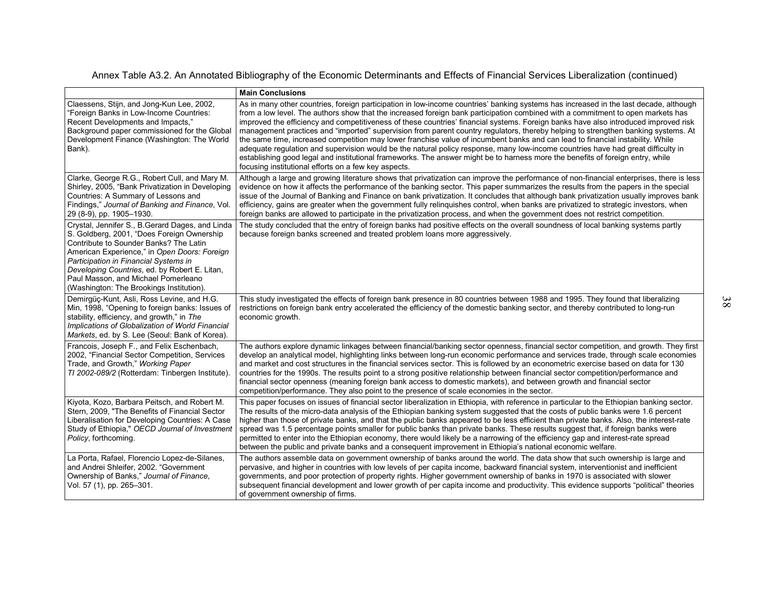|                                                                                                                                                                                                                                                                                                                                                                       | <b>Main Conclusions</b>                                                                                                                                                                                                                                                                                                                                                                                                                                                                                                                                                                                                                                                                                                                                                                                                                                                                                                                                                                                              |
|-----------------------------------------------------------------------------------------------------------------------------------------------------------------------------------------------------------------------------------------------------------------------------------------------------------------------------------------------------------------------|----------------------------------------------------------------------------------------------------------------------------------------------------------------------------------------------------------------------------------------------------------------------------------------------------------------------------------------------------------------------------------------------------------------------------------------------------------------------------------------------------------------------------------------------------------------------------------------------------------------------------------------------------------------------------------------------------------------------------------------------------------------------------------------------------------------------------------------------------------------------------------------------------------------------------------------------------------------------------------------------------------------------|
| Claessens, Stijn, and Jong-Kun Lee, 2002,<br>"Foreign Banks in Low-Income Countries:<br>Recent Developments and Impacts,"<br>Background paper commissioned for the Global<br>Development Finance (Washington: The World<br>Bank).                                                                                                                                     | As in many other countries, foreign participation in low-income countries' banking systems has increased in the last decade, although<br>from a low level. The authors show that the increased foreign bank participation combined with a commitment to open markets has<br>improved the efficiency and competitiveness of these countries' financial systems. Foreign banks have also introduced improved risk<br>management practices and "imported" supervision from parent country regulators, thereby helping to strengthen banking systems. At<br>the same time, increased competition may lower franchise value of incumbent banks and can lead to financial instability. While<br>adequate regulation and supervision would be the natural policy response, many low-income countries have had great difficulty in<br>establishing good legal and institutional frameworks. The answer might be to harness more the benefits of foreign entry, while<br>focusing institutional efforts on a few key aspects. |
| Clarke, George R.G., Robert Cull, and Mary M.<br>Shirley, 2005, "Bank Privatization in Developing<br>Countries: A Summary of Lessons and<br>Findings," Journal of Banking and Finance, Vol.<br>29 (8-9), pp. 1905-1930.                                                                                                                                               | Although a large and growing literature shows that privatization can improve the performance of non-financial enterprises, there is less<br>evidence on how it affects the performance of the banking sector. This paper summarizes the results from the papers in the special<br>issue of the Journal of Banking and Finance on bank privatization. It concludes that although bank privatization usually improves bank<br>efficiency, gains are greater when the government fully relinguishes control, when banks are privatized to strategic investors, when<br>foreign banks are allowed to participate in the privatization process, and when the government does not restrict competition.                                                                                                                                                                                                                                                                                                                    |
| Crystal, Jennifer S., B. Gerard Dages, and Linda<br>S. Goldberg, 2001, "Does Foreign Ownership<br>Contribute to Sounder Banks? The Latin<br>American Experience," in Open Doors: Foreign<br>Participation in Financial Systems in<br>Developing Countries, ed. by Robert E. Litan,<br>Paul Masson, and Michael Pomerleano<br>(Washington: The Brookings Institution). | The study concluded that the entry of foreign banks had positive effects on the overall soundness of local banking systems partly<br>because foreign banks screened and treated problem loans more aggressively.                                                                                                                                                                                                                                                                                                                                                                                                                                                                                                                                                                                                                                                                                                                                                                                                     |
| Demirgüç-Kunt, Asli, Ross Levine, and H.G.<br>Min, 1998, "Opening to foreign banks: Issues of<br>stability, efficiency, and growth," in The<br>Implications of Globalization of World Financial<br>Markets, ed. by S. Lee (Seoul: Bank of Korea).                                                                                                                     | This study investigated the effects of foreign bank presence in 80 countries between 1988 and 1995. They found that liberalizing<br>restrictions on foreign bank entry accelerated the efficiency of the domestic banking sector, and thereby contributed to long-run<br>economic growth.                                                                                                                                                                                                                                                                                                                                                                                                                                                                                                                                                                                                                                                                                                                            |
| Francois, Joseph F., and Felix Eschenbach,<br>2002, "Financial Sector Competition, Services<br>Trade, and Growth," Working Paper<br>TI 2002-089/2 (Rotterdam: Tinbergen Institute).                                                                                                                                                                                   | The authors explore dynamic linkages between financial/banking sector openness, financial sector competition, and growth. They first<br>develop an analytical model, highlighting links between long-run economic performance and services trade, through scale economies<br>and market and cost structures in the financial services sector. This is followed by an econometric exercise based on data for 130<br>countries for the 1990s. The results point to a strong positive relationship between financial sector competition/performance and<br>financial sector openness (meaning foreign bank access to domestic markets), and between growth and financial sector<br>competition/performance. They also point to the presence of scale economies in the sector.                                                                                                                                                                                                                                           |
| Kiyota, Kozo, Barbara Peitsch, and Robert M.<br>Stern, 2009, "The Benefits of Financial Sector<br>Liberalisation for Developing Countries: A Case<br>Study of Ethiopia," OECD Journal of Investment<br>Policy, forthcoming.                                                                                                                                           | This paper focuses on issues of financial sector liberalization in Ethiopia, with reference in particular to the Ethiopian banking sector.<br>The results of the micro-data analysis of the Ethiopian banking system suggested that the costs of public banks were 1.6 percent<br>higher than those of private banks, and that the public banks appeared to be less efficient than private banks. Also, the interest-rate<br>spread was 1.5 percentage points smaller for public banks than private banks. These results suggest that, if foreign banks were<br>permitted to enter into the Ethiopian economy, there would likely be a narrowing of the efficiency gap and interest-rate spread<br>between the public and private banks and a consequent improvement in Ethiopia's national economic welfare.                                                                                                                                                                                                        |
| La Porta, Rafael, Florencio Lopez-de-Silanes,<br>and Andrei Shleifer, 2002. "Government<br>Ownership of Banks," Journal of Finance,<br>Vol. 57 (1), pp. 265-301.                                                                                                                                                                                                      | The authors assemble data on government ownership of banks around the world. The data show that such ownership is large and<br>pervasive, and higher in countries with low levels of per capita income, backward financial system, interventionist and inefficient<br>governments, and poor protection of property rights. Higher government ownership of banks in 1970 is associated with slower<br>subsequent financial development and lower growth of per capita income and productivity. This evidence supports "political" theories<br>of government ownership of firms.                                                                                                                                                                                                                                                                                                                                                                                                                                       |

Annex Table A3.2. An Annotated Bibliography of the Economic Determinants and Effects of Financial Services Liberalization (continued)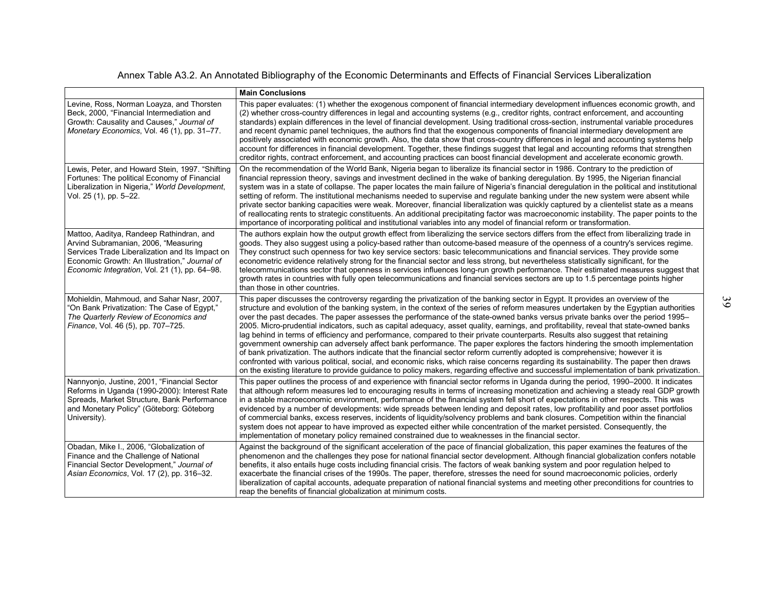Annex Table A3.2. An Annotated Bibliography of the Economic Determinants and Effects of Financial Services Liberalization

|                                                                                                                                                                                                                                       | <b>Main Conclusions</b>                                                                                                                                                                                                                                                                                                                                                                                                                                                                                                                                                                                                                                                                                                                                                                                                                                                                                                                                                                                                                                                                                                                                                                                                                          |
|---------------------------------------------------------------------------------------------------------------------------------------------------------------------------------------------------------------------------------------|--------------------------------------------------------------------------------------------------------------------------------------------------------------------------------------------------------------------------------------------------------------------------------------------------------------------------------------------------------------------------------------------------------------------------------------------------------------------------------------------------------------------------------------------------------------------------------------------------------------------------------------------------------------------------------------------------------------------------------------------------------------------------------------------------------------------------------------------------------------------------------------------------------------------------------------------------------------------------------------------------------------------------------------------------------------------------------------------------------------------------------------------------------------------------------------------------------------------------------------------------|
| Levine, Ross, Norman Loayza, and Thorsten<br>Beck, 2000, "Financial Intermediation and<br>Growth: Causality and Causes," Journal of<br>Monetary Economics, Vol. 46 (1), pp. 31-77.                                                    | This paper evaluates: (1) whether the exogenous component of financial intermediary development influences economic growth, and<br>(2) whether cross-country differences in legal and accounting systems (e.g., creditor rights, contract enforcement, and accounting<br>standards) explain differences in the level of financial development. Using traditional cross-section, instrumental variable procedures<br>and recent dynamic panel techniques, the authors find that the exogenous components of financial intermediary development are<br>positively associated with economic growth. Also, the data show that cross-country differences in legal and accounting systems help<br>account for differences in financial development. Together, these findings suggest that legal and accounting reforms that strengthen<br>creditor rights, contract enforcement, and accounting practices can boost financial development and accelerate economic growth.                                                                                                                                                                                                                                                                              |
| Lewis, Peter, and Howard Stein, 1997. "Shifting<br>Fortunes: The political Economy of Financial<br>Liberalization in Nigeria," World Development,<br>Vol. 25 (1), pp. 5-22.                                                           | On the recommendation of the World Bank, Nigeria began to liberalize its financial sector in 1986. Contrary to the prediction of<br>financial repression theory, savings and investment declined in the wake of banking deregulation. By 1995, the Nigerian financial<br>system was in a state of collapse. The paper locates the main failure of Nigeria's financial deregulation in the political and institutional<br>setting of reform. The institutional mechanisms needed to supervise and regulate banking under the new system were absent while<br>private sector banking capacities were weak. Moreover, financial liberalization was quickly captured by a clientelist state as a means<br>of reallocating rents to strategic constituents. An additional precipitating factor was macroeconomic instability. The paper points to the<br>importance of incorporating political and institutional variables into any model of financial reform or transformation.                                                                                                                                                                                                                                                                      |
| Mattoo, Aaditya, Randeep Rathindran, and<br>Arvind Subramanian, 2006, "Measuring<br>Services Trade Liberalization and Its Impact on<br>Economic Growth: An Illustration," Journal of<br>Economic Integration, Vol. 21 (1), pp. 64-98. | The authors explain how the output growth effect from liberalizing the service sectors differs from the effect from liberalizing trade in<br>goods. They also suggest using a policy-based rather than outcome-based measure of the openness of a country's services regime.<br>They construct such openness for two key service sectors: basic telecommunications and financial services. They provide some<br>econometric evidence relatively strong for the financial sector and less strong, but nevertheless statistically significant, for the<br>telecommunications sector that openness in services influences long-run growth performance. Their estimated measures suggest that<br>growth rates in countries with fully open telecommunications and financial services sectors are up to 1.5 percentage points higher<br>than those in other countries.                                                                                                                                                                                                                                                                                                                                                                                |
| Mohieldin, Mahmoud, and Sahar Nasr, 2007,<br>"On Bank Privatization: The Case of Eqypt,"<br>The Quarterly Review of Economics and<br>Finance, Vol. 46 (5), pp. 707-725.                                                               | This paper discusses the controversy regarding the privatization of the banking sector in Egypt. It provides an overview of the<br>structure and evolution of the banking system, in the context of the series of reform measures undertaken by the Egyptian authorities<br>over the past decades. The paper assesses the performance of the state-owned banks versus private banks over the period 1995–<br>2005. Micro-prudential indicators, such as capital adequacy, asset quality, earnings, and profitability, reveal that state-owned banks<br>lag behind in terms of efficiency and performance, compared to their private counterparts. Results also suggest that retaining<br>government ownership can adversely affect bank performance. The paper explores the factors hindering the smooth implementation<br>of bank privatization. The authors indicate that the financial sector reform currently adopted is comprehensive; however it is<br>confronted with various political, social, and economic risks, which raise concerns regarding its sustainability. The paper then draws<br>on the existing literature to provide guidance to policy makers, regarding effective and successful implementation of bank privatization. |
| Nannyonjo, Justine, 2001, "Financial Sector<br>Reforms in Uganda (1990-2000): Interest Rate<br>Spreads, Market Structure, Bank Performance<br>and Monetary Policy" (Göteborg: Göteborg<br>University).                                | This paper outlines the process of and experience with financial sector reforms in Uganda during the period, 1990–2000. It indicates<br>that although reform measures led to encouraging results in terms of increasing monetization and achieving a steady real GDP growth<br>in a stable macroeconomic environment, performance of the financial system fell short of expectations in other respects. This was<br>evidenced by a number of developments: wide spreads between lending and deposit rates, low profitability and poor asset portfolios<br>of commercial banks, excess reserves, incidents of liquidity/solvency problems and bank closures. Competition within the financial<br>system does not appear to have improved as expected either while concentration of the market persisted. Consequently, the<br>implementation of monetary policy remained constrained due to weaknesses in the financial sector.                                                                                                                                                                                                                                                                                                                   |
| Obadan, Mike I., 2006, "Globalization of<br>Finance and the Challenge of National<br>Financial Sector Development," Journal of<br>Asian Economics, Vol. 17 (2), pp. 316-32.                                                           | Against the background of the significant acceleration of the pace of financial globalization, this paper examines the features of the<br>phenomenon and the challenges they pose for national financial sector development. Although financial globalization confers notable<br>benefits, it also entails huge costs including financial crisis. The factors of weak banking system and poor regulation helped to<br>exacerbate the financial crises of the 1990s. The paper, therefore, stresses the need for sound macroeconomic policies, orderly<br>liberalization of capital accounts, adequate preparation of national financial systems and meeting other preconditions for countries to<br>reap the benefits of financial globalization at minimum costs.                                                                                                                                                                                                                                                                                                                                                                                                                                                                               |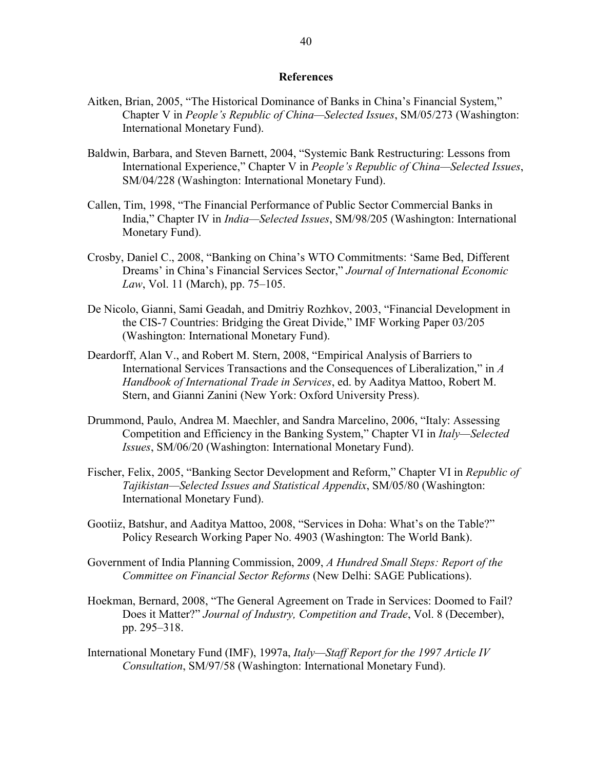#### **References**

- <span id="page-40-0"></span>Aitken, Brian, 2005, "The Historical Dominance of Banks in China's Financial System," Chapter V in *People's Republic of China—Selected Issues*, SM/05/273 (Washington: International Monetary Fund).
- Baldwin, Barbara, and Steven Barnett, 2004, "Systemic Bank Restructuring: Lessons from International Experience," Chapter V in *People's Republic of China—Selected Issues*, SM/04/228 (Washington: International Monetary Fund).
- Callen, Tim, 1998, "The Financial Performance of Public Sector Commercial Banks in India," Chapter IV in *India—Selected Issues*, SM/98/205 (Washington: International Monetary Fund).
- Crosby, Daniel C., 2008, "Banking on China's WTO Commitments: 'Same Bed, Different Dreams' in China's Financial Services Sector," *Journal of International Economic Law*, Vol. 11 (March), pp. 75–105.
- De Nicolo, Gianni, Sami Geadah, and Dmitriy Rozhkov, 2003, "Financial Development in the CIS-7 Countries: Bridging the Great Divide," IMF Working Paper 03/205 (Washington: International Monetary Fund).
- Deardorff, Alan V., and Robert M. Stern, 2008, "Empirical Analysis of Barriers to International Services Transactions and the Consequences of Liberalization," in *A Handbook of International Trade in Services*, ed. by Aaditya Mattoo, Robert M. Stern, and Gianni Zanini (New York: Oxford University Press).
- Drummond, Paulo, Andrea M. Maechler, and Sandra Marcelino, 2006, "Italy: Assessing Competition and Efficiency in the Banking System," Chapter VI in *Italy—Selected Issues*, SM/06/20 (Washington: International Monetary Fund).
- Fischer, Felix, 2005, "Banking Sector Development and Reform," Chapter VI in *Republic of Tajikistan—Selected Issues and Statistical Appendix*, SM/05/80 (Washington: International Monetary Fund).
- Gootiiz, Batshur, and Aaditya Mattoo, 2008, "Services in Doha: What's on the Table?" Policy Research Working Paper No. 4903 (Washington: The World Bank).
- Government of India Planning Commission, 2009, *A Hundred Small Steps: Report of the Committee on Financial Sector Reforms* (New Delhi: SAGE Publications).
- Hoekman, Bernard, 2008, "The General Agreement on Trade in Services: Doomed to Fail? Does it Matter?" *Journal of Industry, Competition and Trade*, Vol. 8 (December), pp. 295–318.
- International Monetary Fund (IMF), 1997a, *Italy—Staff Report for the 1997 Article IV Consultation*, SM/97/58 (Washington: International Monetary Fund).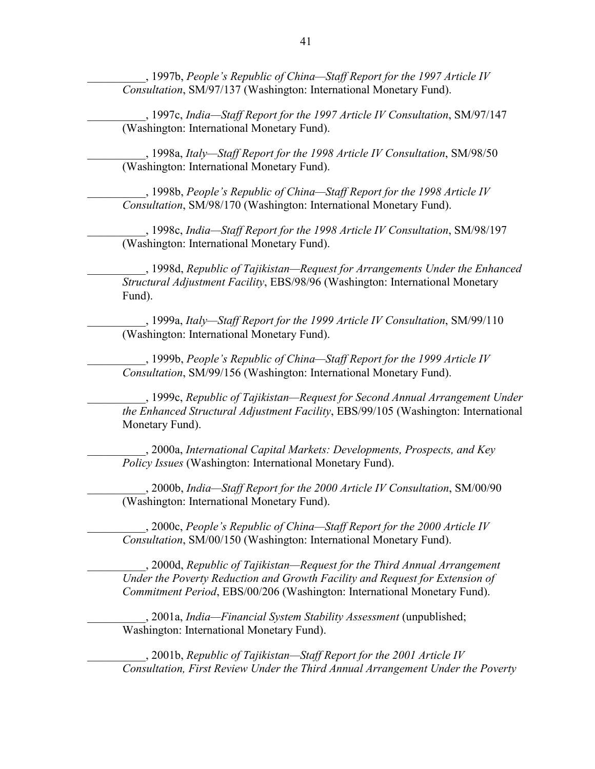\_\_\_\_\_\_\_\_\_\_, 1997b, *People's Republic of China—Staff Report for the 1997 Article IV Consultation*, SM/97/137 (Washington: International Monetary Fund).

\_\_\_\_\_\_\_\_\_\_, 1997c, *India—Staff Report for the 1997 Article IV Consultation*, SM/97/147 (Washington: International Monetary Fund).

\_\_\_\_\_\_\_\_\_\_, 1998a, *Italy—Staff Report for the 1998 Article IV Consultation*, SM/98/50 (Washington: International Monetary Fund).

\_\_\_\_\_\_\_\_\_\_, 1998b, *People's Republic of China—Staff Report for the 1998 Article IV Consultation*, SM/98/170 (Washington: International Monetary Fund).

\_\_\_\_\_\_\_\_\_\_, 1998c, *India—Staff Report for the 1998 Article IV Consultation*, SM/98/197 (Washington: International Monetary Fund).

\_\_\_\_\_\_\_\_\_\_, 1998d, *Republic of Tajikistan—Request for Arrangements Under the Enhanced Structural Adjustment Facility*, EBS/98/96 (Washington: International Monetary Fund).

\_\_\_\_\_\_\_\_\_\_, 1999a, *Italy—Staff Report for the 1999 Article IV Consultation*, SM/99/110 (Washington: International Monetary Fund).

\_\_\_\_\_\_\_\_\_\_, 1999b, *People's Republic of China—Staff Report for the 1999 Article IV Consultation*, SM/99/156 (Washington: International Monetary Fund).

\_\_\_\_\_\_\_\_\_\_, 1999c, *Republic of Tajikistan—Request for Second Annual Arrangement Under the Enhanced Structural Adjustment Facility*, EBS/99/105 (Washington: International Monetary Fund).

\_\_\_\_\_\_\_\_\_\_, 2000a, *International Capital Markets: Developments, Prospects, and Key Policy Issues* (Washington: International Monetary Fund).

\_\_\_\_\_\_\_\_\_\_, 2000b, *India—Staff Report for the 2000 Article IV Consultation*, SM/00/90 (Washington: International Monetary Fund).

\_\_\_\_\_\_\_\_\_\_, 2000c, *People's Republic of China—Staff Report for the 2000 Article IV Consultation*, SM/00/150 (Washington: International Monetary Fund).

\_\_\_\_\_\_\_\_\_\_, 2000d, *Republic of Tajikistan—Request for the Third Annual Arrangement Under the Poverty Reduction and Growth Facility and Request for Extension of Commitment Period*, EBS/00/206 (Washington: International Monetary Fund).

\_\_\_\_\_\_\_\_\_\_, 2001a, *India—Financial System Stability Assessment* (unpublished; Washington: International Monetary Fund).

\_\_\_\_\_\_\_\_\_\_, 2001b, *Republic of Tajikistan—Staff Report for the 2001 Article IV Consultation, First Review Under the Third Annual Arrangement Under the Poverty*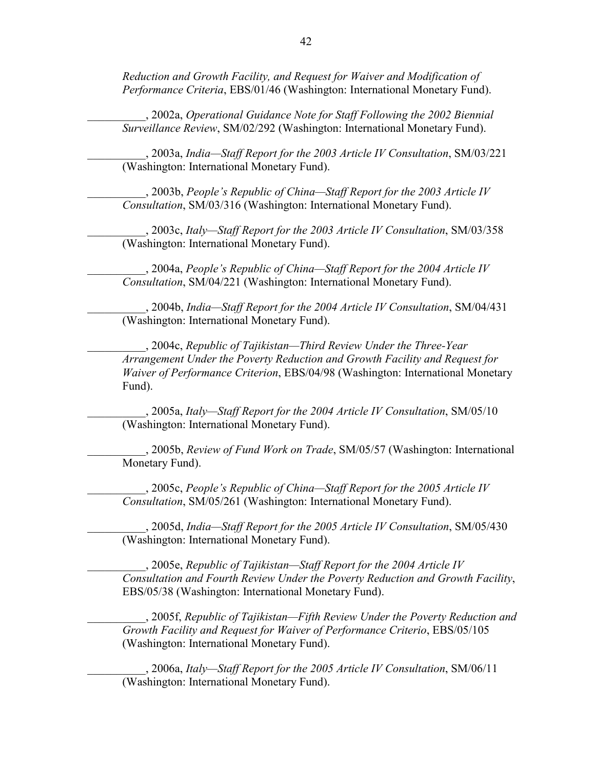*Reduction and Growth Facility, and Request for Waiver and Modification of Performance Criteria*, EBS/01/46 (Washington: International Monetary Fund).

\_\_\_\_\_\_\_\_\_\_, 2002a, *Operational Guidance Note for Staff Following the 2002 Biennial Surveillance Review*, SM/02/292 (Washington: International Monetary Fund).

\_\_\_\_\_\_\_\_\_\_, 2003a, *India—Staff Report for the 2003 Article IV Consultation*, SM/03/221 (Washington: International Monetary Fund).

\_\_\_\_\_\_\_\_\_\_, 2003b, *People's Republic of China—Staff Report for the 2003 Article IV Consultation*, SM/03/316 (Washington: International Monetary Fund).

\_\_\_\_\_\_\_\_\_\_, 2003c, *Italy—Staff Report for the 2003 Article IV Consultation*, SM/03/358 (Washington: International Monetary Fund).

\_\_\_\_\_\_\_\_\_\_, 2004a, *People's Republic of China—Staff Report for the 2004 Article IV Consultation*, SM/04/221 (Washington: International Monetary Fund).

\_\_\_\_\_\_\_\_\_\_, 2004b, *India—Staff Report for the 2004 Article IV Consultation*, SM/04/431 (Washington: International Monetary Fund).

\_\_\_\_\_\_\_\_\_\_, 2004c, *Republic of Tajikistan—Third Review Under the Three-Year Arrangement Under the Poverty Reduction and Growth Facility and Request for Waiver of Performance Criterion*, EBS/04/98 (Washington: International Monetary Fund).

\_\_\_\_\_\_\_\_\_\_, 2005a, *Italy—Staff Report for the 2004 Article IV Consultation*, SM/05/10 (Washington: International Monetary Fund).

\_\_\_\_\_\_\_\_\_\_, 2005b, *Review of Fund Work on Trade*, SM/05/57 (Washington: International Monetary Fund).

\_\_\_\_\_\_\_\_\_\_, 2005c, *People's Republic of China—Staff Report for the 2005 Article IV Consultation*, SM/05/261 (Washington: International Monetary Fund).

\_\_\_\_\_\_\_\_\_\_, 2005d, *India—Staff Report for the 2005 Article IV Consultation*, SM/05/430 (Washington: International Monetary Fund).

\_\_\_\_\_\_\_\_\_\_, 2005e, *Republic of Tajikistan—Staff Report for the 2004 Article IV Consultation and Fourth Review Under the Poverty Reduction and Growth Facility*, EBS/05/38 (Washington: International Monetary Fund).

\_\_\_\_\_\_\_\_\_\_, 2005f, *Republic of Tajikistan—Fifth Review Under the Poverty Reduction and Growth Facility and Request for Waiver of Performance Criterio*, EBS/05/105 (Washington: International Monetary Fund).

\_\_\_\_\_\_\_\_\_\_, 2006a, *Italy—Staff Report for the 2005 Article IV Consultation*, SM/06/11 (Washington: International Monetary Fund).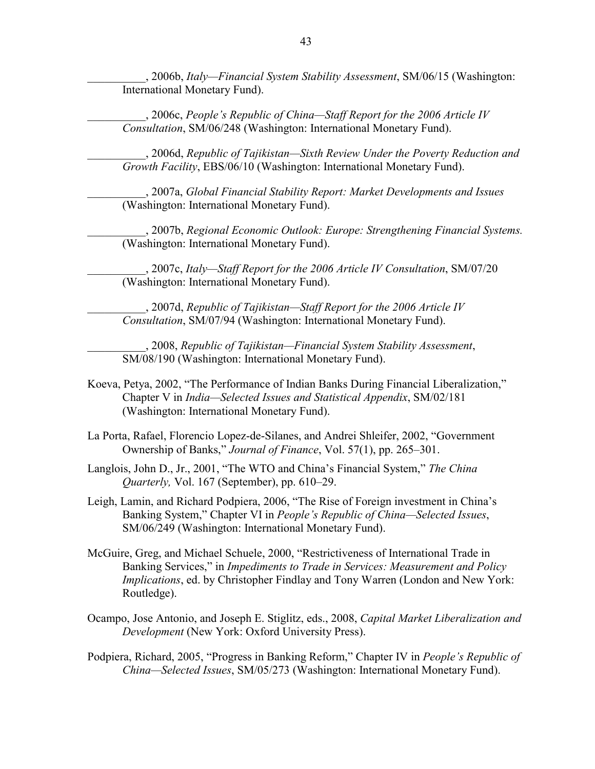\_\_\_\_\_\_\_\_\_\_, 2006b, *Italy—Financial System Stability Assessment*, SM/06/15 (Washington: International Monetary Fund).

\_\_\_\_\_\_\_\_\_\_, 2006c, *People's Republic of China—Staff Report for the 2006 Article IV Consultation*, SM/06/248 (Washington: International Monetary Fund).

\_\_\_\_\_\_\_\_\_\_, 2006d, *Republic of Tajikistan—Sixth Review Under the Poverty Reduction and Growth Facility*, EBS/06/10 (Washington: International Monetary Fund).

\_\_\_\_\_\_\_\_\_\_, 2007a, *Global Financial Stability Report: Market Developments and Issues*  (Washington: International Monetary Fund).

\_\_\_\_\_\_\_\_\_\_, 2007b, *Regional Economic Outlook: Europe: Strengthening Financial Systems.*  (Washington: International Monetary Fund).

\_\_\_\_\_\_\_\_\_\_, 2007c, *Italy—Staff Report for the 2006 Article IV Consultation*, SM/07/20 (Washington: International Monetary Fund).

\_\_\_\_\_\_\_\_\_\_, 2007d, *Republic of Tajikistan—Staff Report for the 2006 Article IV Consultation*, SM/07/94 (Washington: International Monetary Fund).

\_\_\_\_\_\_\_\_\_\_, 2008, *Republic of Tajikistan—Financial System Stability Assessment*, SM/08/190 (Washington: International Monetary Fund).

- Koeva, Petya, 2002, "The Performance of Indian Banks During Financial Liberalization," Chapter V in *India—Selected Issues and Statistical Appendix*, SM/02/181 (Washington: International Monetary Fund).
- La Porta, Rafael, Florencio Lopez-de-Silanes, and Andrei Shleifer, 2002, "Government Ownership of Banks," *Journal of Finance*, Vol. 57(1), pp. 265–301.
- Langlois, John D., Jr., 2001, "The WTO and China's Financial System," *The China Quarterly,* Vol. 167 (September), pp. 610–29.
- Leigh, Lamin, and Richard Podpiera, 2006, "The Rise of Foreign investment in China's Banking System," Chapter VI in *People's Republic of China—Selected Issues*, SM/06/249 (Washington: International Monetary Fund).
- McGuire, Greg, and Michael Schuele, 2000, "Restrictiveness of International Trade in Banking Services," in *Impediments to Trade in Services: Measurement and Policy Implications*, ed. by Christopher Findlay and Tony Warren (London and New York: Routledge).
- Ocampo, Jose Antonio, and Joseph E. Stiglitz, eds., 2008, *Capital Market Liberalization and Development* (New York: Oxford University Press).
- Podpiera, Richard, 2005, "Progress in Banking Reform," Chapter IV in *People's Republic of China—Selected Issues*, SM/05/273 (Washington: International Monetary Fund).